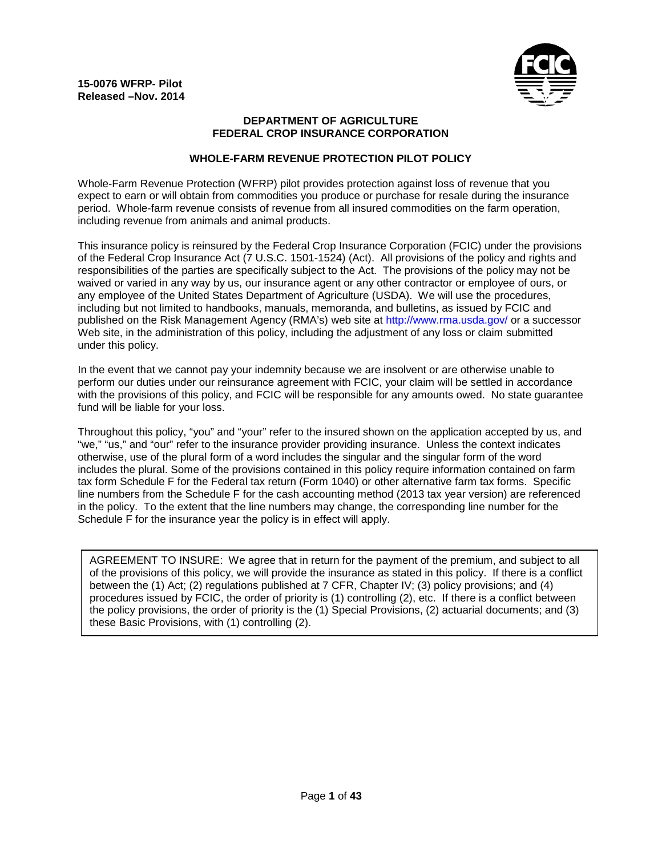

### **DEPARTMENT OF AGRICULTURE FEDERAL CROP INSURANCE CORPORATION**

## **WHOLE-FARM REVENUE PROTECTION PILOT POLICY**

Whole-Farm Revenue Protection (WFRP) pilot provides protection against loss of revenue that you expect to earn or will obtain from commodities you produce or purchase for resale during the insurance period. Whole-farm revenue consists of revenue from all insured commodities on the farm operation, including revenue from animals and animal products.

This insurance policy is reinsured by the Federal Crop Insurance Corporation (FCIC) under the provisions of the Federal Crop Insurance Act (7 U.S.C. 1501-1524) (Act). All provisions of the policy and rights and responsibilities of the parties are specifically subject to the Act. The provisions of the policy may not be waived or varied in any way by us, our insurance agent or any other contractor or employee of ours, or any employee of the United States Department of Agriculture (USDA). We will use the procedures, including but not limited to handbooks, manuals, memoranda, and bulletins, as issued by FCIC and published on the Risk Management Agency (RMA's) web site at http://www.rma.usda.gov/ or a successor Web site, in the administration of this policy, including the adjustment of any loss or claim submitted under this policy.

In the event that we cannot pay your indemnity because we are insolvent or are otherwise unable to perform our duties under our reinsurance agreement with FCIC, your claim will be settled in accordance with the provisions of this policy, and FCIC will be responsible for any amounts owed. No state guarantee fund will be liable for your loss.

Throughout this policy, "you" and "your" refer to the insured shown on the application accepted by us, and "we," "us," and "our" refer to the insurance provider providing insurance. Unless the context indicates otherwise, use of the plural form of a word includes the singular and the singular form of the word includes the plural. Some of the provisions contained in this policy require information contained on farm tax form Schedule F for the Federal tax return (Form 1040) or other alternative farm tax forms. Specific line numbers from the Schedule F for the cash accounting method (2013 tax year version) are referenced in the policy. To the extent that the line numbers may change, the corresponding line number for the Schedule F for the insurance year the policy is in effect will apply.

AGREEMENT TO INSURE: We agree that in return for the payment of the premium, and subject to all of the provisions of this policy, we will provide the insurance as stated in this policy. If there is a conflict between the (1) Act; (2) regulations published at 7 CFR, Chapter IV; (3) policy provisions; and (4) procedures issued by FCIC, the order of priority is (1) controlling (2), etc. If there is a conflict between the policy provisions, the order of priority is the (1) Special Provisions, (2) actuarial documents; and (3) these Basic Provisions, with (1) controlling (2).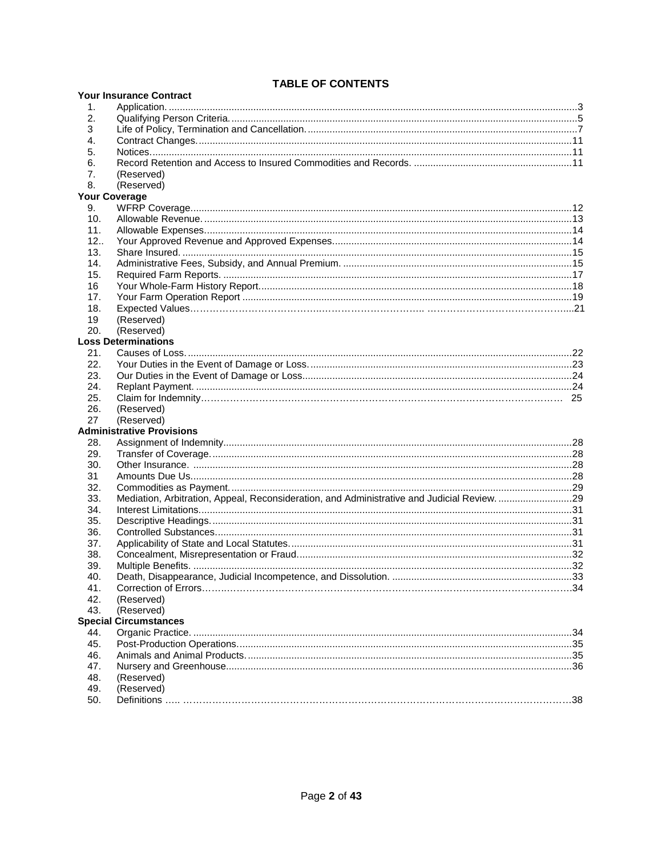## **TABLE OF CONTENTS**

|     | <b>I ADLE UF GUNTENTS</b><br><b>Your Insurance Contract</b>                                 |  |
|-----|---------------------------------------------------------------------------------------------|--|
| 1.  |                                                                                             |  |
| 2.  |                                                                                             |  |
| 3   |                                                                                             |  |
| 4.  |                                                                                             |  |
| 5.  |                                                                                             |  |
| 6.  |                                                                                             |  |
| 7.  | (Reserved)                                                                                  |  |
| 8.  | (Reserved)                                                                                  |  |
|     | <b>Your Coverage</b>                                                                        |  |
| 9.  |                                                                                             |  |
| 10. |                                                                                             |  |
| 11. |                                                                                             |  |
| 12. |                                                                                             |  |
| 13. |                                                                                             |  |
| 14. |                                                                                             |  |
| 15. |                                                                                             |  |
| 16  |                                                                                             |  |
| 17. |                                                                                             |  |
| 18. |                                                                                             |  |
| 19  | (Reserved)                                                                                  |  |
| 20. | (Reserved)                                                                                  |  |
|     | <b>Loss Determinations</b>                                                                  |  |
| 21. |                                                                                             |  |
| 22. |                                                                                             |  |
| 23. |                                                                                             |  |
| 24. |                                                                                             |  |
| 25. |                                                                                             |  |
| 26. | (Reserved)                                                                                  |  |
| 27  | (Reserved)                                                                                  |  |
|     | <b>Administrative Provisions</b>                                                            |  |
| 28. |                                                                                             |  |
| 29. |                                                                                             |  |
| 30. |                                                                                             |  |
| 31  |                                                                                             |  |
| 32. |                                                                                             |  |
| 33. | Mediation, Arbitration, Appeal, Reconsideration, and Administrative and Judicial Review. 29 |  |
| 34. |                                                                                             |  |
| 35. |                                                                                             |  |
| 36. |                                                                                             |  |
| 37. |                                                                                             |  |
| 38. |                                                                                             |  |
| 39. |                                                                                             |  |
| 40. |                                                                                             |  |
| 41. |                                                                                             |  |
| 42. | (Reserved)                                                                                  |  |
| 43. | (Reserved)                                                                                  |  |
|     | <b>Special Circumstances</b>                                                                |  |
| 44. |                                                                                             |  |
| 45. |                                                                                             |  |
| 46. |                                                                                             |  |
| 47. |                                                                                             |  |
| 48. | (Reserved)                                                                                  |  |
| 49. | (Reserved)                                                                                  |  |
| 50. |                                                                                             |  |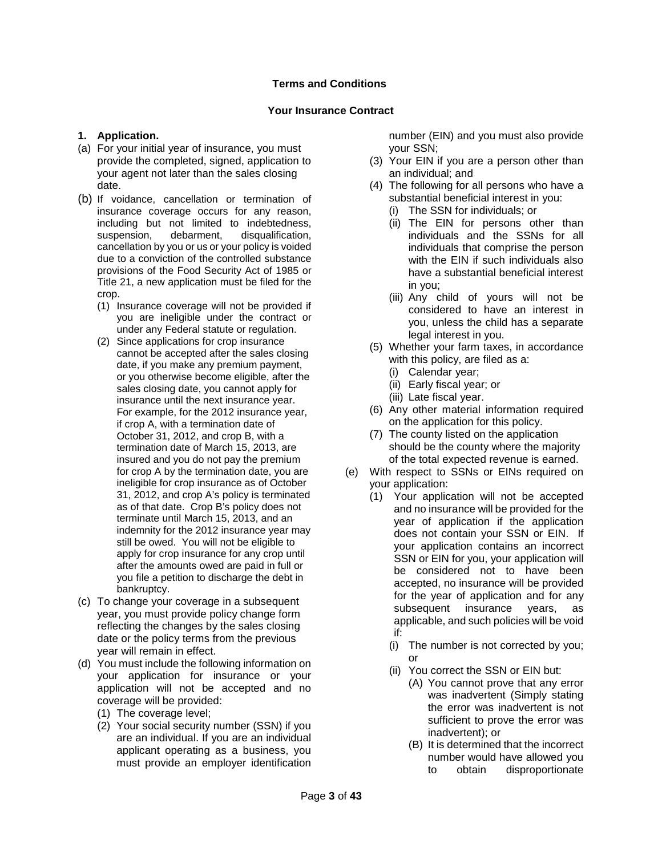## **Terms and Conditions**

### **Your Insurance Contract**

## <span id="page-2-1"></span><span id="page-2-0"></span>**1. Application.**

- (a) For your initial year of insurance, you must provide the completed, signed, application to your agent not later than the sales closing date.
- (b) If voidance, cancellation or termination of insurance coverage occurs for any reason, including but not limited to indebtedness, suspension, debarment, disqualification, cancellation by you or us or your policy is voided due to a conviction of the controlled substance provisions of the Food Security Act of 1985 or Title 21, a new application must be filed for the crop.
	- (1) Insurance coverage will not be provided if you are ineligible under the contract or under any Federal statute or regulation.
	- (2) Since applications for crop insurance cannot be accepted after the sales closing date, if you make any premium payment, or you otherwise become eligible, after the sales closing date, you cannot apply for insurance until the next insurance year. For example, for the 2012 insurance year, if crop A, with a termination date of October 31, 2012, and crop B, with a termination date of March 15, 2013, are insured and you do not pay the premium for crop A by the termination date, you are ineligible for crop insurance as of October 31, 2012, and crop A's policy is terminated as of that date. Crop B's policy does not terminate until March 15, 2013, and an indemnity for the 2012 insurance year may still be owed. You will not be eligible to apply for crop insurance for any crop until after the amounts owed are paid in full or you file a petition to discharge the debt in bankruptcy.
- (c) To change your coverage in a subsequent year, you must provide policy change form reflecting the changes by the sales closing date or the policy terms from the previous year will remain in effect.
- (d) You must include the following information on your application for insurance or your application will not be accepted and no coverage will be provided:
	- (1) The coverage level;
	- (2) Your social security number (SSN) if you are an individual. If you are an individual applicant operating as a business, you must provide an employer identification

number (EIN) and you must also provide your SSN;

- (3) Your EIN if you are a person other than an individual; and
- (4) The following for all persons who have a substantial beneficial interest in you:
	- (i) The SSN for individuals; or
	- (ii) The EIN for persons other than individuals and the SSNs for all individuals that comprise the person with the EIN if such individuals also have a substantial beneficial interest in you;
	- (iii) Any child of yours will not be considered to have an interest in you, unless the child has a separate legal interest in you.
- (5) Whether your farm taxes, in accordance with this policy, are filed as a:
	- (i) Calendar year;
	- (ii) Early fiscal year; or
	- (iii) Late fiscal year.
- (6) Any other material information required on the application for this policy.
- (7) The county listed on the application should be the county where the majority of the total expected revenue is earned.
- (e) With respect to SSNs or EINs required on your application:
	- (1) Your application will not be accepted and no insurance will be provided for the year of application if the application does not contain your SSN or EIN. If your application contains an incorrect SSN or EIN for you, your application will be considered not to have been accepted, no insurance will be provided for the year of application and for any subsequent insurance years, as applicable, and such policies will be void if:
		- (i) The number is not corrected by you; or
		- (ii) You correct the SSN or EIN but:
			- (A) You cannot prove that any error was inadvertent (Simply stating the error was inadvertent is not sufficient to prove the error was inadvertent); or
			- (B) It is determined that the incorrect number would have allowed you to obtain disproportionate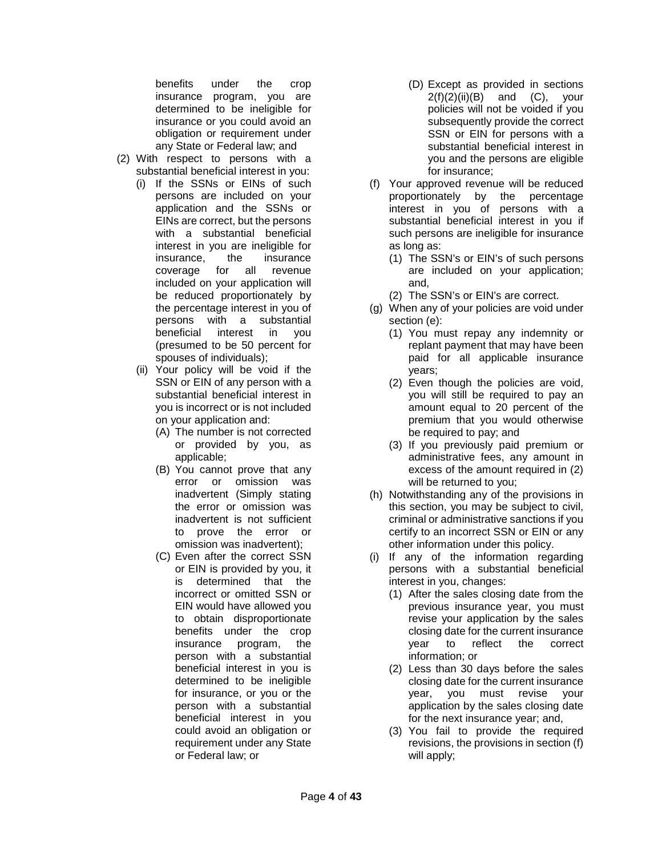benefits under the crop insurance program, you are determined to be ineligible for insurance or you could avoid an obligation or requirement under any State or Federal law; and

- (2) With respect to persons with a substantial beneficial interest in you:
	- (i) If the SSNs or EINs of such persons are included on your application and the SSNs or EINs are correct, but the persons with a substantial beneficial interest in you are ineligible for insurance, the insurance coverage for all revenue included on your application will be reduced proportionately by the percentage interest in you of persons with a substantial beneficial interest in you (presumed to be 50 percent for spouses of individuals);
	- (ii) Your policy will be void if the SSN or EIN of any person with a substantial beneficial interest in you is incorrect or is not included on your application and:
		- (A) The number is not corrected or provided by you, as applicable;
		- (B) You cannot prove that any error or omission was inadvertent (Simply stating the error or omission was inadvertent is not sufficient to prove the error or omission was inadvertent);
		- (C) Even after the correct SSN or EIN is provided by you, it is determined that the incorrect or omitted SSN or EIN would have allowed you to obtain disproportionate benefits under the crop insurance program, the person with a substantial beneficial interest in you is determined to be ineligible for insurance, or you or the person with a substantial beneficial interest in you could avoid an obligation or requirement under any State or Federal law; or
- (D) Except as provided in sections  $2(f)(2)(ii)(B)$  and  $(C)$ , your policies will not be voided if you subsequently provide the correct SSN or EIN for persons with a substantial beneficial interest in you and the persons are eligible for insurance;
- (f) Your approved revenue will be reduced proportionately by the percentage interest in you of persons with a substantial beneficial interest in you if such persons are ineligible for insurance as long as:
	- (1) The SSN's or EIN's of such persons are included on your application; and,
	- (2) The SSN's or EIN's are correct.
- (g) When any of your policies are void under section (e):
	- (1) You must repay any indemnity or replant payment that may have been paid for all applicable insurance years;
	- (2) Even though the policies are void, you will still be required to pay an amount equal to 20 percent of the premium that you would otherwise be required to pay; and
	- (3) If you previously paid premium or administrative fees, any amount in excess of the amount required in (2) will be returned to you;
- (h) Notwithstanding any of the provisions in this section, you may be subject to civil, criminal or administrative sanctions if you certify to an incorrect SSN or EIN or any other information under this policy.
- (i) If any of the information regarding persons with a substantial beneficial interest in you, changes:
	- (1) After the sales closing date from the previous insurance year, you must revise your application by the sales closing date for the current insurance<br>vear to reflect the correct year to reflect the correct information; or
	- (2) Less than 30 days before the sales closing date for the current insurance year, you must revise your application by the sales closing date for the next insurance year; and,
	- (3) You fail to provide the required revisions, the provisions in section (f) will apply;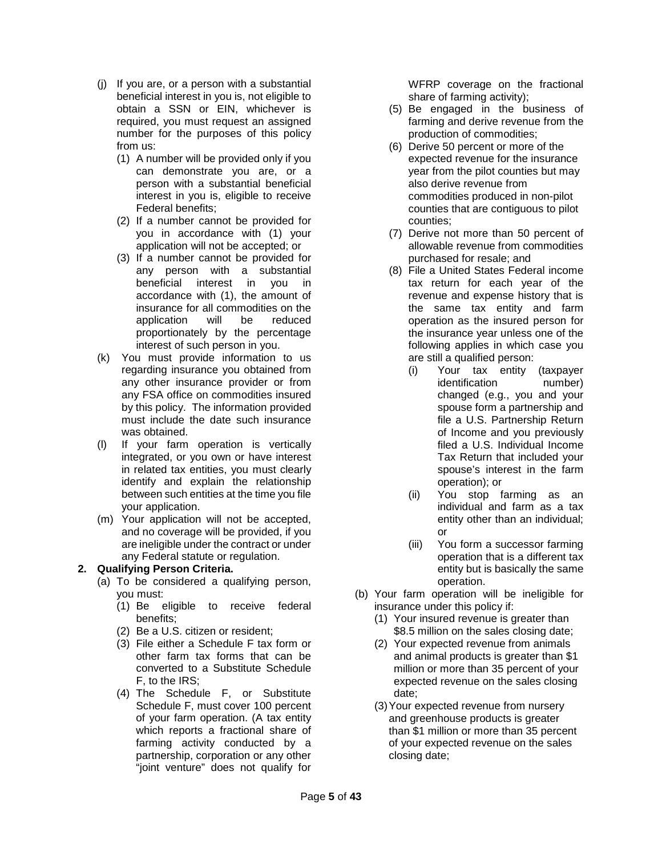- (j) If you are, or a person with a substantial beneficial interest in you is, not eligible to obtain a SSN or EIN, whichever is required, you must request an assigned number for the purposes of this policy from us:
	- (1) A number will be provided only if you can demonstrate you are, or a person with a substantial beneficial interest in you is, eligible to receive Federal benefits;
	- (2) If a number cannot be provided for you in accordance with (1) your application will not be accepted; or
	- (3) If a number cannot be provided for any person with a substantial beneficial interest in you in accordance with (1), the amount of insurance for all commodities on the<br>application will be reduced application will be reduced proportionately by the percentage interest of such person in you.
- (k) You must provide information to us regarding insurance you obtained from any other insurance provider or from any FSA office on commodities insured by this policy. The information provided must include the date such insurance was obtained.
- (l) If your farm operation is vertically integrated, or you own or have interest in related tax entities, you must clearly identify and explain the relationship between such entities at the time you file your application.
- (m) Your application will not be accepted, and no coverage will be provided, if you are ineligible under the contract or under any Federal statute or regulation.

## <span id="page-4-0"></span>**2. Qualifying Person Criteria.**

- (a) To be considered a qualifying person, you must:
	- (1) Be eligible to receive federal benefits;
	- (2) Be a U.S. citizen or resident;
	- (3) File either a Schedule F tax form or other farm tax forms that can be converted to a Substitute Schedule F, to the IRS;
	- (4) The Schedule F, or Substitute Schedule F, must cover 100 percent of your farm operation. (A tax entity which reports a fractional share of farming activity conducted by a partnership, corporation or any other "joint venture" does not qualify for

WFRP coverage on the fractional share of farming activity);

- (5) Be engaged in the business of farming and derive revenue from the production of commodities;
- (6) Derive 50 percent or more of the expected revenue for the insurance year from the pilot counties but may also derive revenue from commodities produced in non-pilot counties that are contiguous to pilot counties;
- (7) Derive not more than 50 percent of allowable revenue from commodities purchased for resale; and
- (8) File a United States Federal income tax return for each year of the revenue and expense history that is the same tax entity and farm operation as the insured person for the insurance year unless one of the following applies in which case you are still a qualified person:
	- (i) Your tax entity (taxpayer identification number) changed (e.g., you and your spouse form a partnership and file a U.S. Partnership Return of Income and you previously filed a U.S. Individual Income Tax Return that included your spouse's interest in the farm operation); or
	- (ii) You stop farming as an individual and farm as a tax entity other than an individual; or
	- (iii) You form a successor farming operation that is a different tax entity but is basically the same operation.
- (b) Your farm operation will be ineligible for insurance under this policy if:
	- (1) Your insured revenue is greater than \$8.5 million on the sales closing date;
	- (2) Your expected revenue from animals and animal products is greater than \$1 million or more than 35 percent of your expected revenue on the sales closing date;
	- (3)Your expected revenue from nursery and greenhouse products is greater than \$1 million or more than 35 percent of your expected revenue on the sales closing date;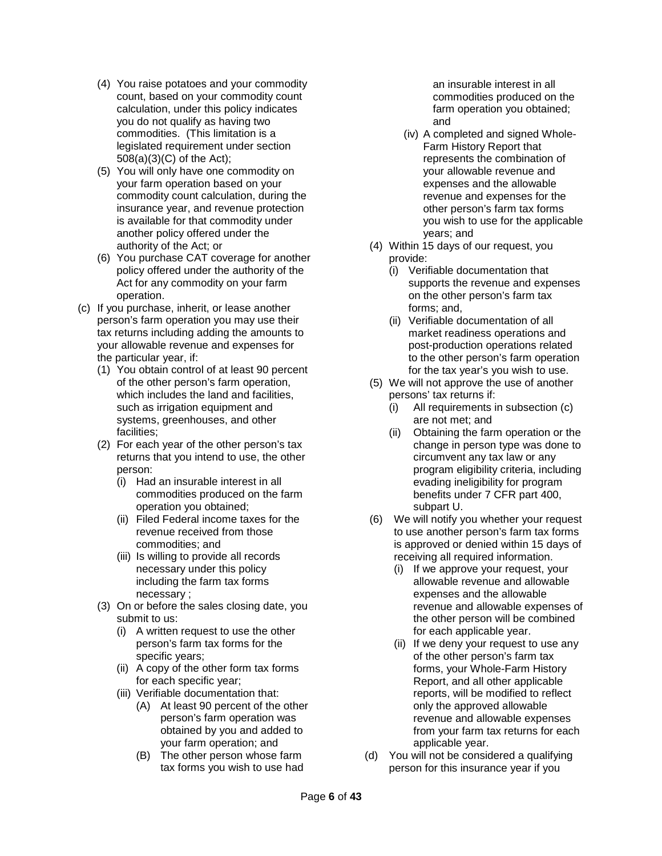- (4) You raise potatoes and your commodity count, based on your commodity count calculation, under this policy indicates you do not qualify as having two commodities. (This limitation is a legislated requirement under section 508(a)(3)(C) of the Act);
- (5) You will only have one commodity on your farm operation based on your commodity count calculation, during the insurance year, and revenue protection is available for that commodity under another policy offered under the authority of the Act; or
- (6) You purchase CAT coverage for another policy offered under the authority of the Act for any commodity on your farm operation.
- (c) If you purchase, inherit, or lease another person's farm operation you may use their tax returns including adding the amounts to your allowable revenue and expenses for the particular year, if:
	- (1) You obtain control of at least 90 percent of the other person's farm operation, which includes the land and facilities. such as irrigation equipment and systems, greenhouses, and other facilities;
	- (2) For each year of the other person's tax returns that you intend to use, the other person:
		- (i) Had an insurable interest in all commodities produced on the farm operation you obtained;
		- (ii) Filed Federal income taxes for the revenue received from those commodities; and
		- (iii) Is willing to provide all records necessary under this policy including the farm tax forms necessary ;
	- (3) On or before the sales closing date, you submit to us:
		- (i) A written request to use the other person's farm tax forms for the specific years;
		- (ii) A copy of the other form tax forms for each specific year;
		- (iii) Verifiable documentation that:
			- (A) At least 90 percent of the other person's farm operation was obtained by you and added to your farm operation; and
			- (B) The other person whose farm tax forms you wish to use had

an insurable interest in all commodities produced on the farm operation you obtained; and

- (iv) A completed and signed Whole-Farm History Report that represents the combination of your allowable revenue and expenses and the allowable revenue and expenses for the other person's farm tax forms you wish to use for the applicable years; and
- (4) Within 15 days of our request, you provide:
	- (i) Verifiable documentation that supports the revenue and expenses on the other person's farm tax forms; and,
	- (ii) Verifiable documentation of all market readiness operations and post-production operations related to the other person's farm operation for the tax year's you wish to use.
- (5) We will not approve the use of another persons' tax returns if:
	- (i) All requirements in subsection (c) are not met; and
	- (ii) Obtaining the farm operation or the change in person type was done to circumvent any tax law or any program eligibility criteria, including evading ineligibility for program benefits under 7 CFR part 400, subpart U.
- (6) We will notify you whether your request to use another person's farm tax forms is approved or denied within 15 days of receiving all required information.
	- (i) If we approve your request, your allowable revenue and allowable expenses and the allowable revenue and allowable expenses of the other person will be combined for each applicable year.
	- (ii) If we deny your request to use any of the other person's farm tax forms, your Whole-Farm History Report, and all other applicable reports, will be modified to reflect only the approved allowable revenue and allowable expenses from your farm tax returns for each applicable year.
- (d) You will not be considered a qualifying person for this insurance year if you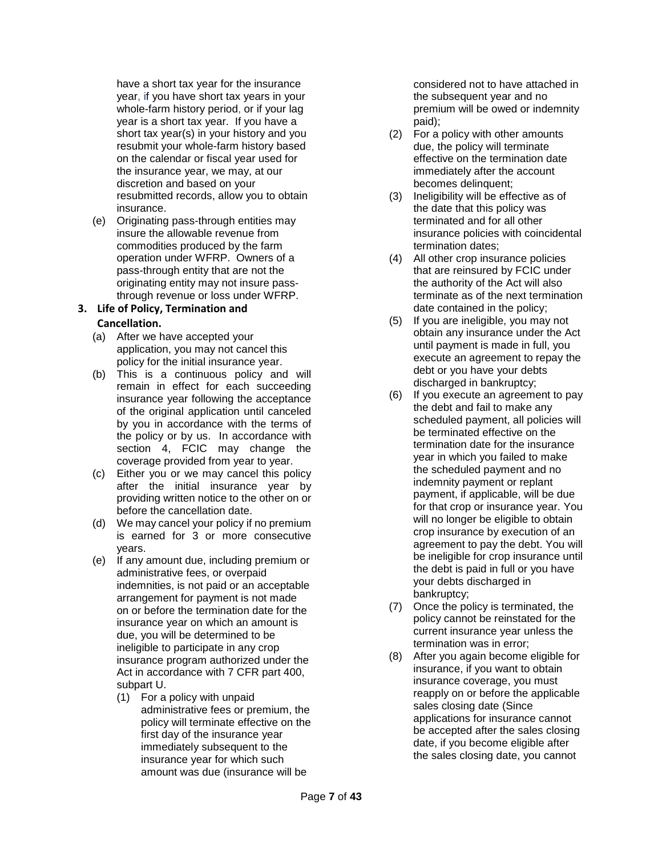have a short tax year for the insurance year, if you have short tax years in your whole-farm history period, or if your lag year is a short tax year. If you have a short tax year(s) in your history and you resubmit your whole-farm history based on the calendar or fiscal year used for the insurance year, we may, at our discretion and based on your resubmitted records, allow you to obtain insurance.

(e) Originating pass-through entities may insure the allowable revenue from commodities produced by the farm operation under WFRP. Owners of a pass-through entity that are not the originating entity may not insure passthrough revenue or loss under WFRP.

#### **3. Life of Policy, Termination and Cancellation.**

- 
- (a) After we have accepted your application, you may not cancel this policy for the initial insurance year.
- (b) This is a continuous policy and will remain in effect for each succeeding insurance year following the acceptance of the original application until canceled by you in accordance with the terms of the policy or by us. In accordance with section 4, FCIC may change the coverage provided from year to year.
- (c) Either you or we may cancel this policy after the initial insurance year by providing written notice to the other on or before the cancellation date.
- (d) We may cancel your policy if no premium is earned for 3 or more consecutive years.
- (e) If any amount due, including premium or administrative fees, or overpaid indemnities, is not paid or an acceptable arrangement for payment is not made on or before the termination date for the insurance year on which an amount is due, you will be determined to be ineligible to participate in any crop insurance program authorized under the Act in accordance with 7 CFR part 400, subpart U.
	- (1) For a policy with unpaid administrative fees or premium, the policy will terminate effective on the first day of the insurance year immediately subsequent to the insurance year for which such amount was due (insurance will be

considered not to have attached in the subsequent year and no premium will be owed or indemnity paid);

- (2) For a policy with other amounts due, the policy will terminate effective on the termination date immediately after the account becomes delinquent;
- (3) Ineligibility will be effective as of the date that this policy was terminated and for all other insurance policies with coincidental termination dates;
- (4) All other crop insurance policies that are reinsured by FCIC under the authority of the Act will also terminate as of the next termination date contained in the policy;
- <span id="page-6-0"></span>(5) If you are ineligible, you may not obtain any insurance under the Act until payment is made in full, you execute an agreement to repay the debt or you have your debts discharged in bankruptcy;
- (6) If you execute an agreement to pay the debt and fail to make any scheduled payment, all policies will be terminated effective on the termination date for the insurance year in which you failed to make the scheduled payment and no indemnity payment or replant payment, if applicable, will be due for that crop or insurance year. You will no longer be eligible to obtain crop insurance by execution of an agreement to pay the debt. You will be ineligible for crop insurance until the debt is paid in full or you have your debts discharged in bankruptcy;
- (7) Once the policy is terminated, the policy cannot be reinstated for the current insurance year unless the termination was in error;
- (8) After you again become eligible for insurance, if you want to obtain insurance coverage, you must reapply on or before the applicable sales closing date (Since applications for insurance cannot be accepted after the sales closing date, if you become eligible after the sales closing date, you cannot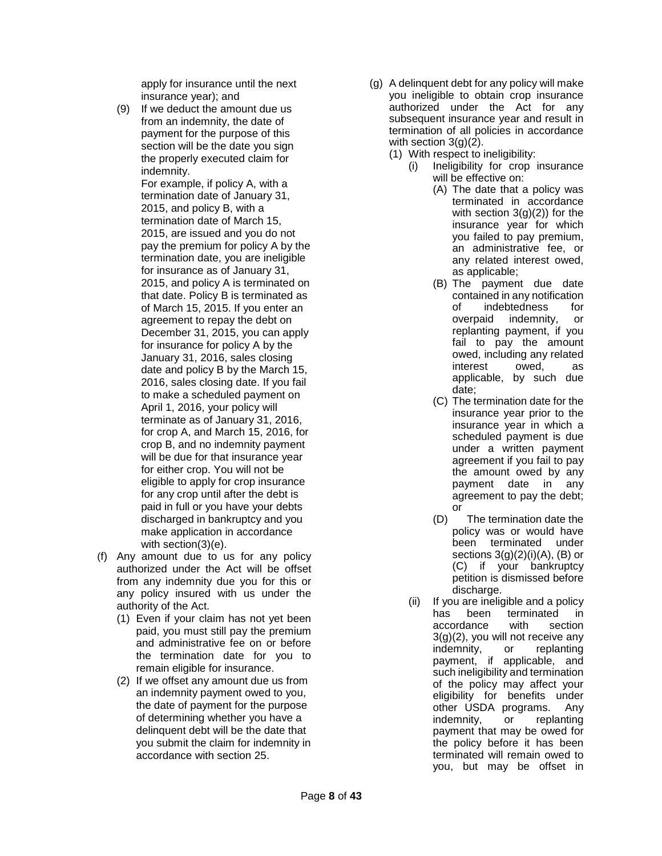apply for insurance until the next insurance year); and

(9) If we deduct the amount due us from an indemnity, the date of payment for the purpose of this section will be the date you sign the properly executed claim for indemnity.

For example, if policy A, with a termination date of January 31, 2015, and policy B, with a termination date of March 15, 2015, are issued and you do not pay the premium for policy A by the termination date, you are ineligible for insurance as of January 31, 2015, and policy A is terminated on that date. Policy B is terminated as of March 15, 2015. If you enter an agreement to repay the debt on December 31, 2015, you can apply for insurance for policy A by the January 31, 2016, sales closing date and policy B by the March 15, 2016, sales closing date. If you fail to make a scheduled payment on April 1, 2016, your policy will terminate as of January 31, 2016, for crop A, and March 15, 2016, for crop B, and no indemnity payment will be due for that insurance year for either crop. You will not be eligible to apply for crop insurance for any crop until after the debt is paid in full or you have your debts discharged in bankruptcy and you make application in accordance with section(3)(e).

- (f) Any amount due to us for any policy authorized under the Act will be offset from any indemnity due you for this or any policy insured with us under the authority of the Act.
	- (1) Even if your claim has not yet been paid, you must still pay the premium and administrative fee on or before the termination date for you to remain eligible for insurance.
	- (2) If we offset any amount due us from an indemnity payment owed to you, the date of payment for the purpose of determining whether you have a delinquent debt will be the date that you submit the claim for indemnity in accordance with section 25.
- (g) A delinquent debt for any policy will make you ineligible to obtain crop insurance authorized under the Act for any subsequent insurance year and result in termination of all policies in accordance with section 3(g)(2).
	- (1) With respect to ineligibility:
		- (i) Ineligibility for crop insurance will be effective on:
			- (A) The date that a policy was terminated in accordance with section  $3(g)(2)$ ) for the insurance year for which you failed to pay premium, an administrative fee, or any related interest owed, as applicable;
			- (B) The payment due date contained in any notification of indebtedness for overpaid indemnity, or replanting payment, if you fail to pay the amount owed, including any related interest owed, as applicable, by such due date;
			- (C) The termination date for the insurance year prior to the insurance year in which a scheduled payment is due under a written payment agreement if you fail to pay the amount owed by any payment date in any agreement to pay the debt; or
			- (D) The termination date the policy was or would have<br>been terminated under been terminated sections  $3(g)(2)(i)(A)$ , (B) or (C) if your bankruptcy petition is dismissed before discharge.
		- (ii) If you are ineligible and a policy<br>has been terminated in terminated in accordance with section 3(g)(2), you will not receive any indemnity, or replanting payment, if applicable, and such ineligibility and termination of the policy may affect your eligibility for benefits under other USDA programs. Any indemnity, or replanting payment that may be owed for the policy before it has been terminated will remain owed to you, but may be offset in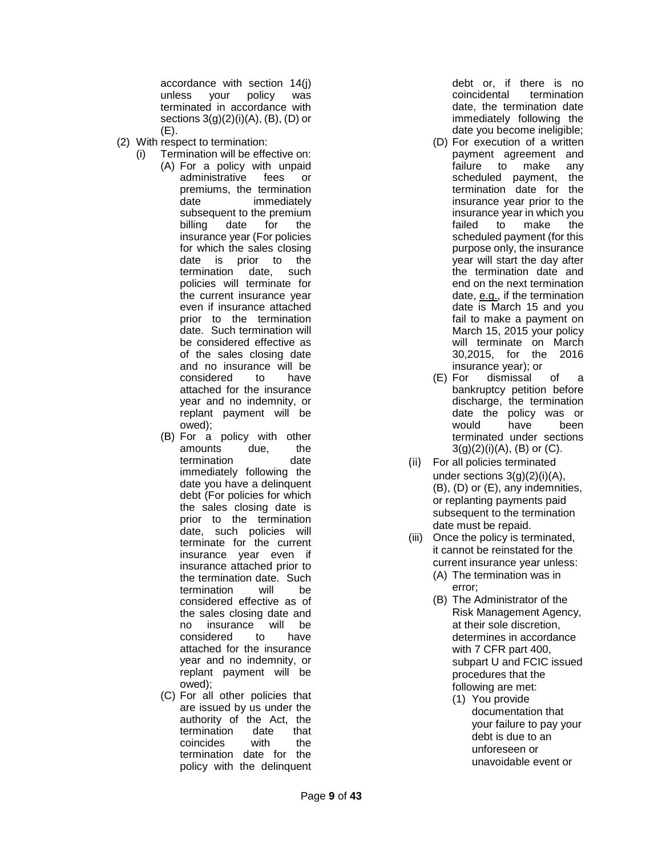accordance with section 14(j) unless your policy was terminated in accordance with sections  $3(g)(2)(i)(A)$ ,  $(B)$ ,  $(D)$  or (E).

- (2) With respect to termination:
	- (i) Termination will be effective on: (A) For a policy with unpaid administrative fees or premiums, the termination date immediately subsequent to the premium billing date for the insurance year (For policies for which the sales closing date is prior to the termination date, such policies will terminate for the current insurance year even if insurance attached prior to the termination date. Such termination will be considered effective as of the sales closing date and no insurance will be considered to have attached for the insurance year and no indemnity, or replant payment will be owed);
		- (B) For a policy with other amounts due, the<br>termination date termination immediately following the date you have a delinquent debt (For policies for which the sales closing date is prior to the termination date, such policies will terminate for the current insurance year even if insurance attached prior to the termination date. Such termination will be considered effective as of the sales closing date and no insurance will be considered attached for the insurance year and no indemnity, or replant payment will be owed);
		- (C) For all other policies that are issued by us under the authority of the Act, the<br>termination date that termination date<br>coincides with coincides with the termination date for the policy with the delinquent

debt or, if there is no<br>coincidental termination coincidental date, the termination date immediately following the date you become ineligible;

- (D) For execution of a written payment agreement and failure to make any<br>scheduled payment, the scheduled payment, termination date for the insurance year prior to the insurance year in which you failed to make the scheduled payment (for this purpose only, the insurance year will start the day after the termination date and end on the next termination date, e.g., if the termination date is March 15 and you fail to make a payment on March 15, 2015 your policy will terminate on March 30,2015, for the 2016 insurance year); or
- (E) For dismissal of a bankruptcy petition before discharge, the termination date the policy was or would have been terminated under sections  $3(g)(2)(i)(A)$ , (B) or (C).
- (ii) For all policies terminated under sections 3(g)(2)(i)(A), (B), (D) or (E), any indemnities, or replanting payments paid subsequent to the termination date must be repaid.
- (iii) Once the policy is terminated, it cannot be reinstated for the current insurance year unless:
	- (A) The termination was in error;
	- (B) The Administrator of the Risk Management Agency, at their sole discretion, determines in accordance with 7 CFR part 400, subpart U and FCIC issued procedures that the following are met:
		- (1) You provide documentation that your failure to pay your debt is due to an unforeseen or unavoidable event or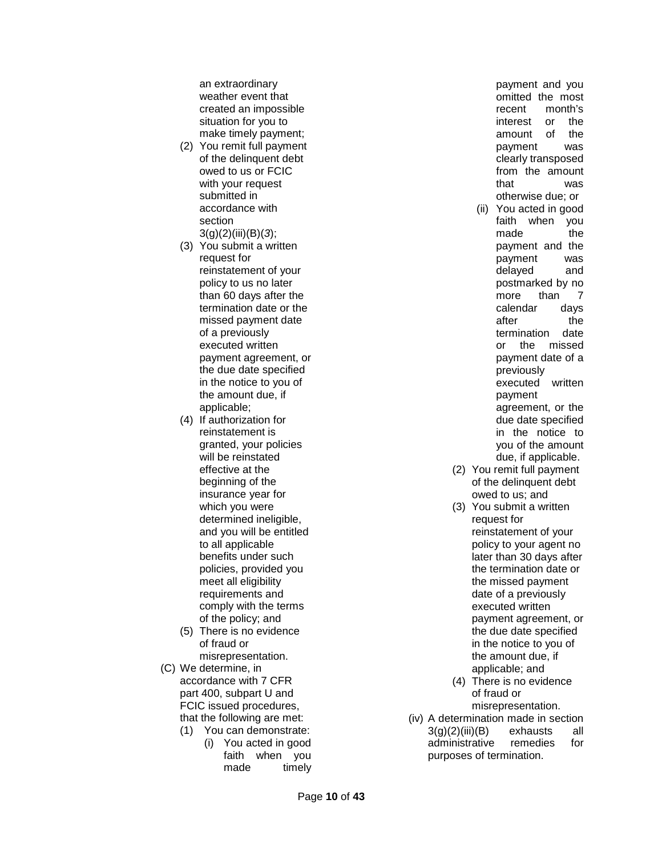an extraordinary weather event that created an impossible situation for you to make timely payment;

- (2) You remit full payment of the delinquent debt owed to us or FCIC with your request submitted in accordance with section 3(g)(2)(iii)(B)(*3*);
- (3) You submit a written request for reinstatement of your policy to us no later than 60 days after the termination date or the missed payment date of a previously executed written payment agreement, or the due date specified in the notice to you of the amount due, if applicable;
- (4) If authorization for reinstatement is granted, your policies will be reinstated effective at the beginning of the insurance year for which you were determined ineligible, and you will be entitled to all applicable benefits under such policies, provided you meet all eligibility requirements and comply with the terms of the policy; and
- (5) There is no evidence of fraud or misrepresentation.
- (C) We determine, in accordance with 7 CFR part 400, subpart U and FCIC issued procedures, that the following are met:
	- (1) You can demonstrate: (i) You acted in good faith when you made timely

payment and you omitted the most recent month's interest or the amount of the payment was clearly transposed from the amount that was otherwise due; or

- (ii) You acted in good faith when you made the payment and the payment was delayed and postmarked by no more than 7 calendar days after the<br>termination date termination or the missed payment date of a previously executed written payment agreement, or the due date specified in the notice to you of the amount due, if applicable.
- (2) You remit full payment of the delinquent debt owed to us; and
- (3) You submit a written request for reinstatement of your policy to your agent no later than 30 days after the termination date or the missed payment date of a previously executed written payment agreement, or the due date specified in the notice to you of the amount due, if applicable; and
- (4) There is no evidence of fraud or misrepresentation.
- (iv) A determination made in section<br> $3(a)(2)(iii)(B)$  exhausts all 3(g)(2)(iii)(B) exhausts all administrative remedies for purposes of termination.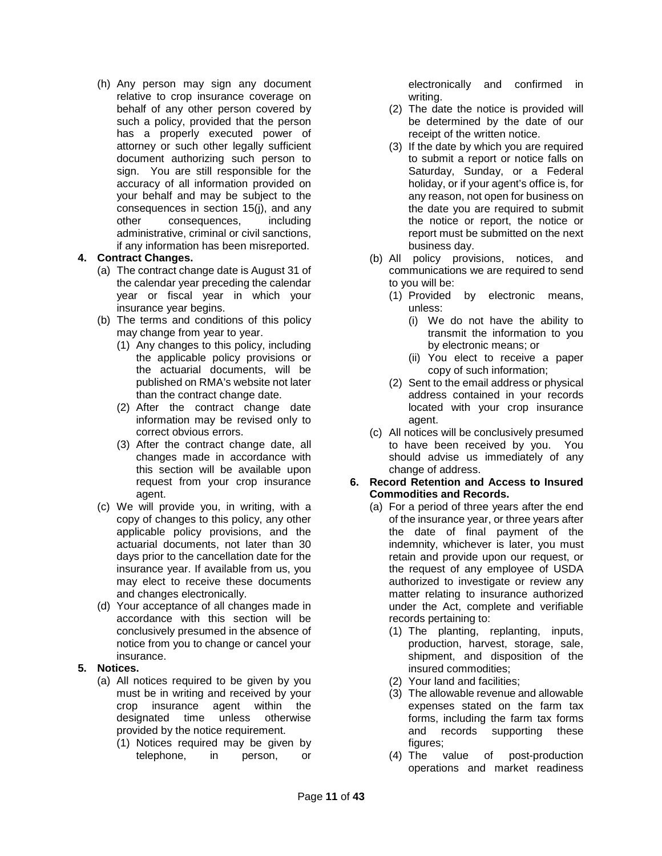(h) Any person may sign any document relative to crop insurance coverage on behalf of any other person covered by such a policy, provided that the person has a properly executed power of attorney or such other legally sufficient document authorizing such person to sign. You are still responsible for the accuracy of all information provided on your behalf and may be subject to the consequences in section 15(j), and any other consequences, including administrative, criminal or civil sanctions, if any information has been misreported.

## <span id="page-10-0"></span>**4. Contract Changes.**

- (a) The contract change date is August 31 of the calendar year preceding the calendar year or fiscal year in which your insurance year begins.
- (b) The terms and conditions of this policy may change from year to year.
	- (1) Any changes to this policy, including the applicable policy provisions or the actuarial documents, will be published on RMA's website not later than the contract change date.
	- (2) After the contract change date information may be revised only to correct obvious errors.
	- (3) After the contract change date, all changes made in accordance with this section will be available upon request from your crop insurance agent.
- (c) We will provide you, in writing, with a copy of changes to this policy, any other applicable policy provisions, and the actuarial documents, not later than 30 days prior to the cancellation date for the insurance year. If available from us, you may elect to receive these documents and changes electronically.
- (d) Your acceptance of all changes made in accordance with this section will be conclusively presumed in the absence of notice from you to change or cancel your insurance.

## <span id="page-10-1"></span>**5. Notices.**

- (a) All notices required to be given by you must be in writing and received by your crop insurance agent within the designated time unless otherwise provided by the notice requirement.
	- (1) Notices required may be given by telephone, in person, or

electronically and confirmed in writing.

- (2) The date the notice is provided will be determined by the date of our receipt of the written notice.
- (3) If the date by which you are required to submit a report or notice falls on Saturday, Sunday, or a Federal holiday, or if your agent's office is, for any reason, not open for business on the date you are required to submit the notice or report, the notice or report must be submitted on the next business day.
- (b) All policy provisions, notices, and communications we are required to send to you will be:
	- (1) Provided by electronic means, unless:
		- (i) We do not have the ability to transmit the information to you by electronic means; or
		- (ii) You elect to receive a paper copy of such information;
	- (2) Sent to the email address or physical address contained in your records located with your crop insurance agent.
- (c) All notices will be conclusively presumed to have been received by you. You should advise us immediately of any change of address.

### <span id="page-10-2"></span>**6. Record Retention and Access to Insured Commodities and Records.**

- (a) For a period of three years after the end of the insurance year, or three years after the date of final payment of the indemnity, whichever is later, you must retain and provide upon our request, or the request of any employee of USDA authorized to investigate or review any matter relating to insurance authorized under the Act, complete and verifiable records pertaining to:
	- (1) The planting, replanting, inputs, production, harvest, storage, sale, shipment, and disposition of the insured commodities;
	- (2) Your land and facilities;
	- (3) The allowable revenue and allowable expenses stated on the farm tax forms, including the farm tax forms<br>and records supporting these records supporting these figures;
	- (4) The value of post-production operations and market readiness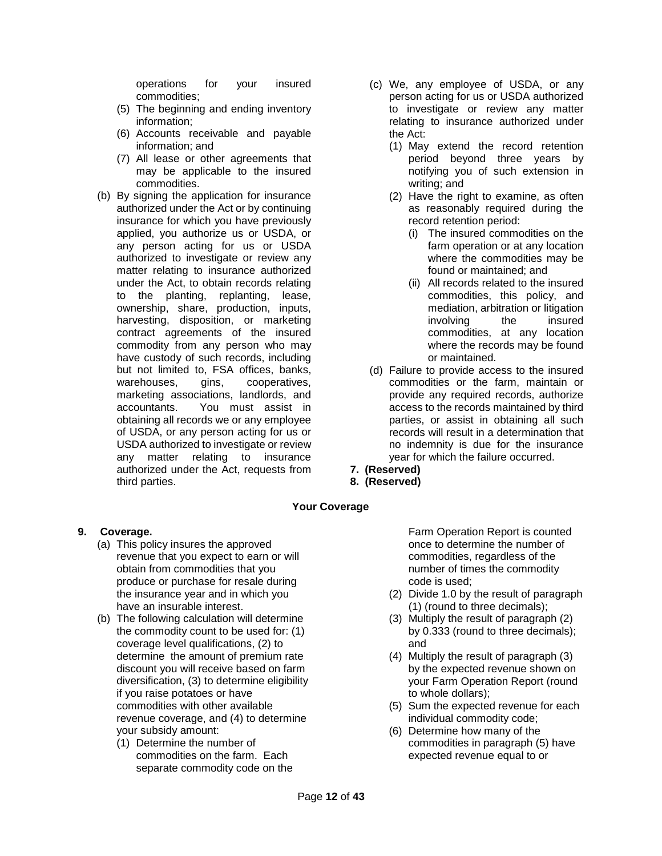operations for your insured commodities;

- (5) The beginning and ending inventory information;
- (6) Accounts receivable and payable information; and
- (7) All lease or other agreements that may be applicable to the insured commodities.
- (b) By signing the application for insurance authorized under the Act or by continuing insurance for which you have previously applied, you authorize us or USDA, or any person acting for us or USDA authorized to investigate or review any matter relating to insurance authorized under the Act, to obtain records relating to the planting, replanting, lease, ownership, share, production, inputs, harvesting, disposition, or marketing contract agreements of the insured commodity from any person who may have custody of such records, including but not limited to, FSA offices, banks, warehouses, gins, cooperatives, marketing associations, landlords, and accountants. You must assist in obtaining all records we or any employee of USDA, or any person acting for us or USDA authorized to investigate or review any matter relating to insurance authorized under the Act, requests from third parties.
- (c) We, any employee of USDA, or any person acting for us or USDA authorized to investigate or review any matter relating to insurance authorized under the Act:
	- (1) May extend the record retention period beyond three years by notifying you of such extension in writing; and
	- (2) Have the right to examine, as often as reasonably required during the record retention period:
		- (i) The insured commodities on the farm operation or at any location where the commodities may be found or maintained; and
		- (ii) All records related to the insured commodities, this policy, and mediation, arbitration or litigation involving the insured commodities, at any location where the records may be found or maintained.
- (d) Failure to provide access to the insured commodities or the farm, maintain or provide any required records, authorize access to the records maintained by third parties, or assist in obtaining all such records will result in a determination that no indemnity is due for the insurance year for which the failure occurred.
- **7. (Reserved)**
- **8. (Reserved)**

# **Your Coverage**

## <span id="page-11-1"></span><span id="page-11-0"></span>**9. Coverage.**

- (a) This policy insures the approved revenue that you expect to earn or will obtain from commodities that you produce or purchase for resale during the insurance year and in which you have an insurable interest.
- (b) The following calculation will determine the commodity count to be used for: (1) coverage level qualifications, (2) to determine the amount of premium rate discount you will receive based on farm diversification, (3) to determine eligibility if you raise potatoes or have commodities with other available revenue coverage, and (4) to determine your subsidy amount:
	- (1) Determine the number of commodities on the farm. Each separate commodity code on the

Farm Operation Report is counted once to determine the number of commodities, regardless of the number of times the commodity code is used;

- (2) Divide 1.0 by the result of paragraph (1) (round to three decimals);
- (3) Multiply the result of paragraph (2) by 0.333 (round to three decimals); and
- (4) Multiply the result of paragraph (3) by the expected revenue shown on your Farm Operation Report (round to whole dollars);
- (5) Sum the expected revenue for each individual commodity code;
- (6) Determine how many of the commodities in paragraph (5) have expected revenue equal to or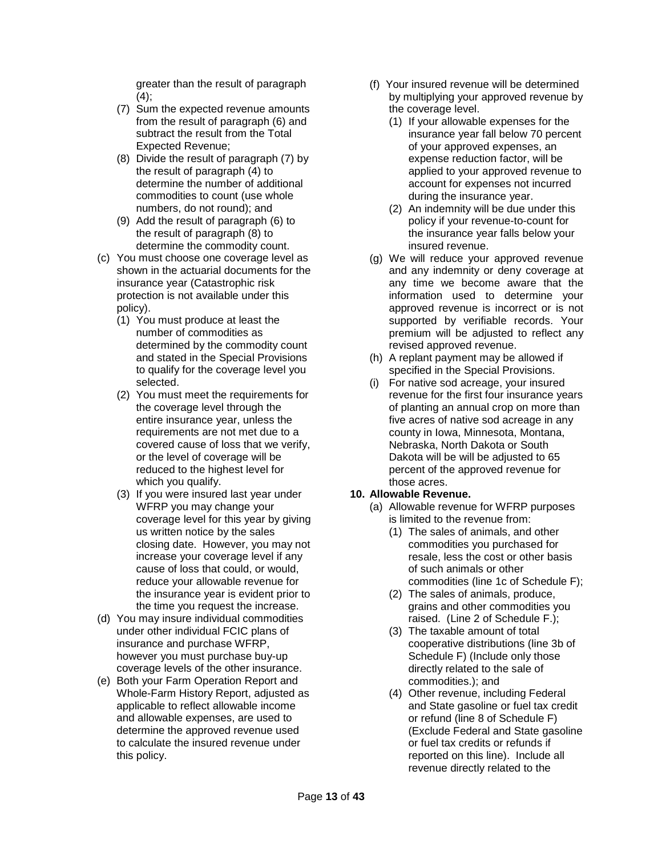greater than the result of paragraph  $(4)$ ;

- (7) Sum the expected revenue amounts from the result of paragraph (6) and subtract the result from the Total Expected Revenue;
- (8) Divide the result of paragraph (7) by the result of paragraph (4) to determine the number of additional commodities to count (use whole numbers, do not round); and
- (9) Add the result of paragraph (6) to the result of paragraph (8) to determine the commodity count.
- (c) You must choose one coverage level as shown in the actuarial documents for the insurance year (Catastrophic risk protection is not available under this policy).
	- (1) You must produce at least the number of commodities as determined by the commodity count and stated in the Special Provisions to qualify for the coverage level you selected.
	- (2) You must meet the requirements for the coverage level through the entire insurance year, unless the requirements are not met due to a covered cause of loss that we verify, or the level of coverage will be reduced to the highest level for which you qualify.
	- (3) If you were insured last year under WFRP you may change your coverage level for this year by giving us written notice by the sales closing date. However, you may not increase your coverage level if any cause of loss that could, or would, reduce your allowable revenue for the insurance year is evident prior to the time you request the increase.
- (d) You may insure individual commodities under other individual FCIC plans of insurance and purchase WFRP, however you must purchase buy-up coverage levels of the other insurance.
- (e) Both your Farm Operation Report and Whole-Farm History Report, adjusted as applicable to reflect allowable income and allowable expenses, are used to determine the approved revenue used to calculate the insured revenue under this policy.
- (f) Your insured revenue will be determined by multiplying your approved revenue by the coverage level.
	- (1) If your allowable expenses for the insurance year fall below 70 percent of your approved expenses, an expense reduction factor, will be applied to your approved revenue to account for expenses not incurred during the insurance year.
	- (2) An indemnity will be due under this policy if your revenue-to-count for the insurance year falls below your insured revenue.
- (g) We will reduce your approved revenue and any indemnity or deny coverage at any time we become aware that the information used to determine your approved revenue is incorrect or is not supported by verifiable records. Your premium will be adjusted to reflect any revised approved revenue.
- (h) A replant payment may be allowed if specified in the Special Provisions.
- (i) For native sod acreage, your insured revenue for the first four insurance years of planting an annual crop on more than five acres of native sod acreage in any county in Iowa, Minnesota, Montana, Nebraska, North Dakota or South Dakota will be will be adjusted to 65 percent of the approved revenue for those acres.

# <span id="page-12-0"></span>**10. Allowable Revenue.**

- (a) Allowable revenue for WFRP purposes is limited to the revenue from:
	- (1) The sales of animals, and other commodities you purchased for resale, less the cost or other basis of such animals or other commodities (line 1c of Schedule F);
	- (2) The sales of animals, produce, grains and other commodities you raised. (Line 2 of Schedule F.);
	- (3) The taxable amount of total cooperative distributions (line 3b of Schedule F) (Include only those directly related to the sale of commodities.); and
	- (4) Other revenue, including Federal and State gasoline or fuel tax credit or refund (line 8 of Schedule F) (Exclude Federal and State gasoline or fuel tax credits or refunds if reported on this line). Include all revenue directly related to the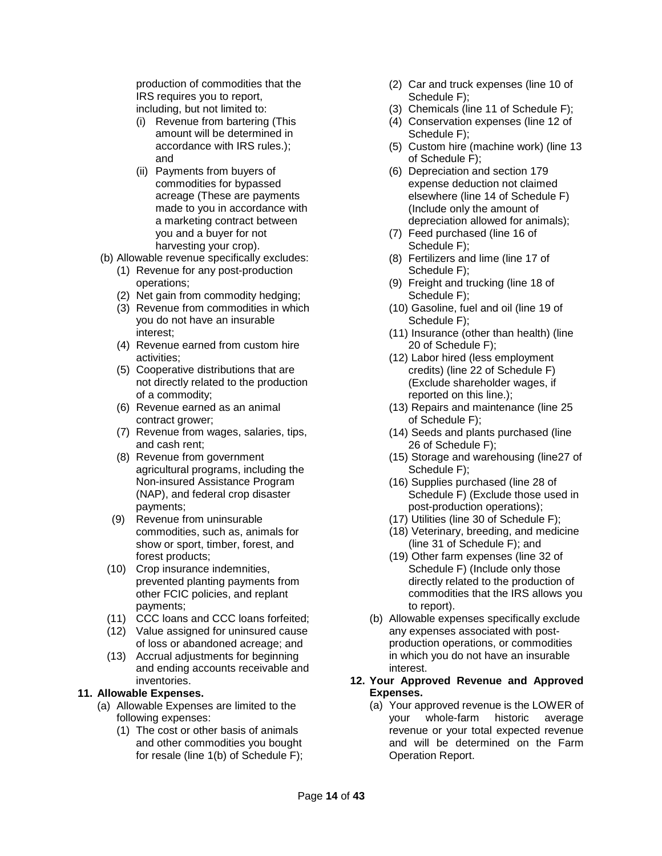production of commodities that the IRS requires you to report,

- including, but not limited to:
- (i) Revenue from bartering (This amount will be determined in accordance with IRS rules.); and
- (ii) Payments from buyers of commodities for bypassed acreage (These are payments made to you in accordance with a marketing contract between you and a buyer for not harvesting your crop).
- (b) Allowable revenue specifically excludes:
	- (1) Revenue for any post-production operations;
	- (2) Net gain from commodity hedging;
	- (3) Revenue from commodities in which you do not have an insurable interest;
	- (4) Revenue earned from custom hire activities;
	- (5) Cooperative distributions that are not directly related to the production of a commodity;
	- (6) Revenue earned as an animal contract grower;
	- (7) Revenue from wages, salaries, tips, and cash rent;
	- (8) Revenue from government agricultural programs, including the Non-insured Assistance Program (NAP), and federal crop disaster payments;
	- (9) Revenue from uninsurable commodities, such as, animals for show or sport, timber, forest, and forest products;
- (10) Crop insurance indemnities, prevented planting payments from other FCIC policies, and replant payments;
- (11) CCC loans and CCC loans forfeited;
- (12) Value assigned for uninsured cause of loss or abandoned acreage; and
- (13) Accrual adjustments for beginning and ending accounts receivable and inventories.
- <span id="page-13-0"></span>**11. Allowable Expenses.**
	- (a) Allowable Expenses are limited to the following expenses:
		- (1) The cost or other basis of animals and other commodities you bought for resale (line 1(b) of Schedule F);
- (2) Car and truck expenses (line 10 of Schedule F);
- (3) Chemicals (line 11 of Schedule F);
- (4) Conservation expenses (line 12 of Schedule F);
- (5) Custom hire (machine work) (line 13 of Schedule F);
- (6) Depreciation and section 179 expense deduction not claimed elsewhere (line 14 of Schedule F) (Include only the amount of depreciation allowed for animals);
- (7) Feed purchased (line 16 of Schedule F);
- (8) Fertilizers and lime (line 17 of Schedule F);
- (9) Freight and trucking (line 18 of Schedule F);
- (10) Gasoline, fuel and oil (line 19 of Schedule F);
- (11) Insurance (other than health) (line 20 of Schedule F);
- (12) Labor hired (less employment credits) (line 22 of Schedule F) (Exclude shareholder wages, if reported on this line.);
- (13) Repairs and maintenance (line 25 of Schedule F);
- (14) Seeds and plants purchased (line 26 of Schedule F);
- (15) Storage and warehousing (line27 of Schedule F);
- (16) Supplies purchased (line 28 of Schedule F) (Exclude those used in post-production operations);
- (17) Utilities (line 30 of Schedule F);
- (18) Veterinary, breeding, and medicine (line 31 of Schedule F); and
- (19) Other farm expenses (line 32 of Schedule F) (Include only those directly related to the production of commodities that the IRS allows you to report).
- (b) Allowable expenses specifically exclude any expenses associated with postproduction operations, or commodities in which you do not have an insurable interest.

### <span id="page-13-1"></span>**12. Your Approved Revenue and Approved Expenses.**

(a) Your approved revenue is the LOWER of your whole-farm historic average revenue or your total expected revenue and will be determined on the Farm Operation Report.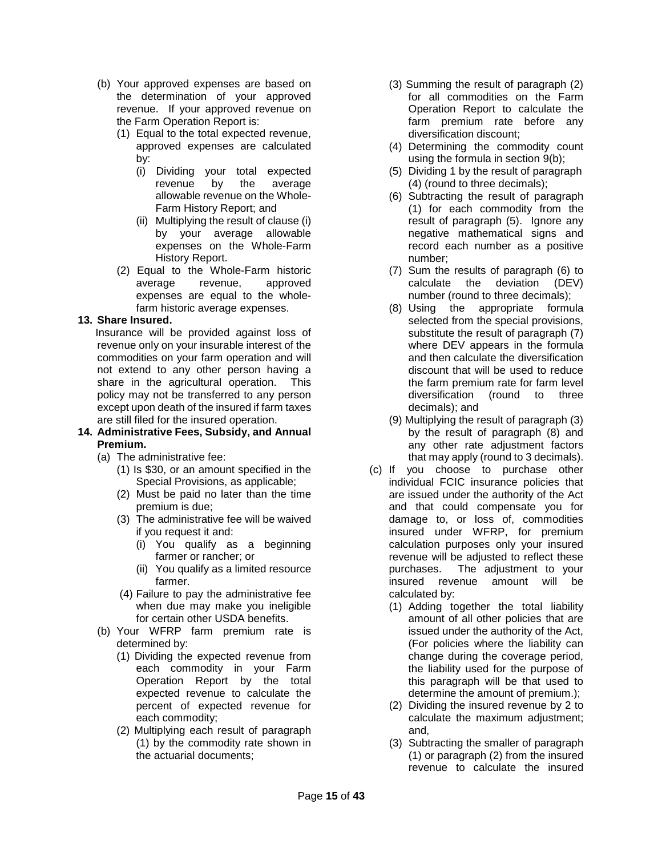- (b) Your approved expenses are based on the determination of your approved revenue. If your approved revenue on the Farm Operation Report is:
	- (1) Equal to the total expected revenue, approved expenses are calculated by:
		- (i) Dividing your total expected revenue by the average allowable revenue on the Whole-Farm History Report; and
		- (ii) Multiplying the result of clause (i) by your average allowable expenses on the Whole-Farm History Report.
	- (2) Equal to the Whole-Farm historic average revenue, approved expenses are equal to the wholefarm historic average expenses.

## <span id="page-14-0"></span>**13. Share Insured.**

Insurance will be provided against loss of revenue only on your insurable interest of the commodities on your farm operation and will not extend to any other person having a share in the agricultural operation. This policy may not be transferred to any person except upon death of the insured if farm taxes are still filed for the insured operation.

#### <span id="page-14-1"></span>**14. Administrative Fees, Subsidy, and Annual Premium.**

- (a) The administrative fee:
	- (1) Is \$30, or an amount specified in the Special Provisions, as applicable;
	- (2) Must be paid no later than the time premium is due;
	- (3) The administrative fee will be waived if you request it and:
		- (i) You qualify as a beginning farmer or rancher; or
		- (ii) You qualify as a limited resource farmer.
	- (4) Failure to pay the administrative fee when due may make you ineligible for certain other USDA benefits.
- (b) Your WFRP farm premium rate is determined by:
	- (1) Dividing the expected revenue from each commodity in your Farm Operation Report by the total expected revenue to calculate the percent of expected revenue for each commodity;
	- (2) Multiplying each result of paragraph (1) by the commodity rate shown in the actuarial documents;
- (3) Summing the result of paragraph (2) for all commodities on the Farm Operation Report to calculate the farm premium rate before any diversification discount;
- (4) Determining the commodity count using the formula in section 9(b);
- (5) Dividing 1 by the result of paragraph (4) (round to three decimals);
- (6) Subtracting the result of paragraph (1) for each commodity from the result of paragraph (5). Ignore any negative mathematical signs and record each number as a positive number;
- (7) Sum the results of paragraph (6) to calculate the deviation (DEV) number (round to three decimals);
- (8) Using the appropriate formula selected from the special provisions, substitute the result of paragraph (7) where DEV appears in the formula and then calculate the diversification discount that will be used to reduce the farm premium rate for farm level diversification (round to three decimals); and
- (9) Multiplying the result of paragraph (3) by the result of paragraph (8) and any other rate adjustment factors that may apply (round to 3 decimals).
- (c) If you choose to purchase other individual FCIC insurance policies that are issued under the authority of the Act and that could compensate you for damage to, or loss of, commodities insured under WFRP, for premium calculation purposes only your insured revenue will be adjusted to reflect these purchases. The adjustment to your insured revenue amount will be calculated by:
	- (1) Adding together the total liability amount of all other policies that are issued under the authority of the Act, (For policies where the liability can change during the coverage period, the liability used for the purpose of this paragraph will be that used to determine the amount of premium.);
	- (2) Dividing the insured revenue by 2 to calculate the maximum adjustment; and,
	- (3) Subtracting the smaller of paragraph (1) or paragraph (2) from the insured revenue to calculate the insured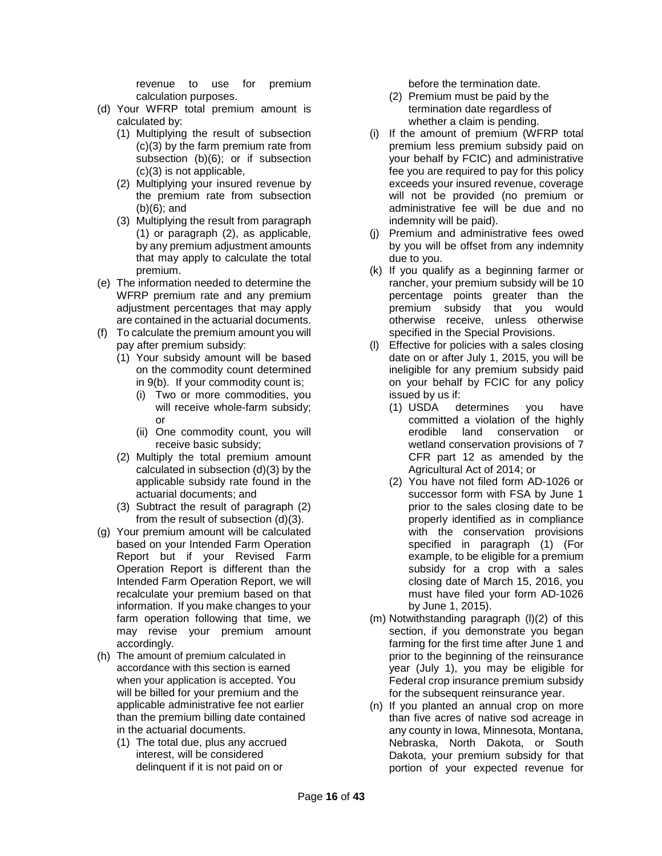revenue to use for premium calculation purposes.

- (d) Your WFRP total premium amount is calculated by:
	- (1) Multiplying the result of subsection (c)(3) by the farm premium rate from subsection (b)(6); or if subsection (c)(3) is not applicable,
	- (2) Multiplying your insured revenue by the premium rate from subsection (b)(6); and
	- (3) Multiplying the result from paragraph (1) or paragraph (2), as applicable, by any premium adjustment amounts that may apply to calculate the total premium.
- (e) The information needed to determine the WFRP premium rate and any premium adjustment percentages that may apply are contained in the actuarial documents.
- (f) To calculate the premium amount you will pay after premium subsidy:
	- (1) Your subsidy amount will be based on the commodity count determined in 9(b). If your commodity count is;
		- (i) Two or more commodities, you will receive whole-farm subsidy; or
		- (ii) One commodity count, you will receive basic subsidy;
	- (2) Multiply the total premium amount calculated in subsection (d)(3) by the applicable subsidy rate found in the actuarial documents; and
	- (3) Subtract the result of paragraph (2) from the result of subsection (d)(3).
- (g) Your premium amount will be calculated based on your Intended Farm Operation Report but if your Revised Farm Operation Report is different than the Intended Farm Operation Report, we will recalculate your premium based on that information. If you make changes to your farm operation following that time, we may revise your premium amount accordingly.
- (h) The amount of premium calculated in accordance with this section is earned when your application is accepted. You will be billed for your premium and the applicable administrative fee not earlier than the premium billing date contained in the actuarial documents.
	- (1) The total due, plus any accrued interest, will be considered delinquent if it is not paid on or

before the termination date.

- (2) Premium must be paid by the termination date regardless of whether a claim is pending.
- (i) If the amount of premium (WFRP total premium less premium subsidy paid on your behalf by FCIC) and administrative fee you are required to pay for this policy exceeds your insured revenue, coverage will not be provided (no premium or administrative fee will be due and no indemnity will be paid).
- (j) Premium and administrative fees owed by you will be offset from any indemnity due to you.
- (k) If you qualify as a beginning farmer or rancher, your premium subsidy will be 10 percentage points greater than the premium subsidy that you would otherwise receive, unless otherwise specified in the Special Provisions.
- (l) Effective for policies with a sales closing date on or after July 1, 2015, you will be ineligible for any premium subsidy paid on your behalf by FCIC for any policy issued by us if:
	- (1) USDA determines you have committed a violation of the highly erodible land conservation or wetland conservation provisions of 7 CFR part 12 as amended by the Agricultural Act of 2014; or
	- (2) You have not filed form AD-1026 or successor form with FSA by June 1 prior to the sales closing date to be properly identified as in compliance with the conservation provisions specified in paragraph (1) (For example, to be eligible for a premium subsidy for a crop with a sales closing date of March 15, 2016, you must have filed your form AD-1026 by June 1, 2015).
- (m) Notwithstanding paragraph (l)(2) of this section, if you demonstrate you began farming for the first time after June 1 and prior to the beginning of the reinsurance year (July 1), you may be eligible for Federal crop insurance premium subsidy for the subsequent reinsurance year.
- <span id="page-15-0"></span>(n) If you planted an annual crop on more than five acres of native sod acreage in any county in Iowa, Minnesota, Montana, Nebraska, North Dakota, or South Dakota, your premium subsidy for that portion of your expected revenue for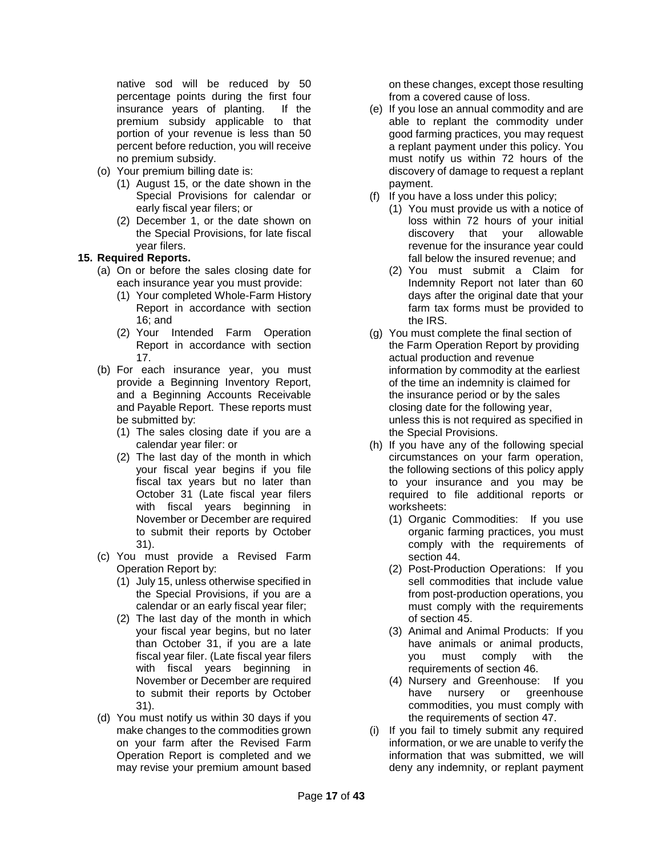native sod will be reduced by 50 percentage points during the first four insurance years of planting. If the premium subsidy applicable to that portion of your revenue is less than 50 percent before reduction, you will receive no premium subsidy.

- (o) Your premium billing date is:
	- (1) August 15, or the date shown in the Special Provisions for calendar or early fiscal year filers; or
	- (2) December 1, or the date shown on the Special Provisions, for late fiscal year filers.

## **15. Required Reports.**

- (a) On or before the sales closing date for each insurance year you must provide:
	- (1) Your completed Whole-Farm History Report in accordance with section 16; and
	- (2) Your Intended Farm Operation Report in accordance with section 17.
- (b) For each insurance year, you must provide a Beginning Inventory Report, and a Beginning Accounts Receivable and Payable Report. These reports must be submitted by:
	- (1) The sales closing date if you are a calendar year filer: or
	- (2) The last day of the month in which your fiscal year begins if you file fiscal tax years but no later than October 31 (Late fiscal year filers with fiscal years beginning in November or December are required to submit their reports by October 31).
- (c) You must provide a Revised Farm Operation Report by:
	- (1) July 15, unless otherwise specified in the Special Provisions, if you are a calendar or an early fiscal year filer;
	- (2) The last day of the month in which your fiscal year begins, but no later than October 31, if you are a late fiscal year filer. (Late fiscal year filers with fiscal years beginning in November or December are required to submit their reports by October 31).
- (d) You must notify us within 30 days if you make changes to the commodities grown on your farm after the Revised Farm Operation Report is completed and we may revise your premium amount based

on these changes, except those resulting from a covered cause of loss.

- (e) If you lose an annual commodity and are able to replant the commodity under good farming practices, you may request a replant payment under this policy. You must notify us within 72 hours of the discovery of damage to request a replant payment.
- (f) If you have a loss under this policy;
	- (1) You must provide us with a notice of loss within 72 hours of your initial discovery that your allowable revenue for the insurance year could fall below the insured revenue; and
	- (2) You must submit a Claim for Indemnity Report not later than 60 days after the original date that your farm tax forms must be provided to the IRS.
- (g) You must complete the final section of the Farm Operation Report by providing actual production and revenue information by commodity at the earliest of the time an indemnity is claimed for the insurance period or by the sales closing date for the following year, unless this is not required as specified in the Special Provisions.
- (h) If you have any of the following special circumstances on your farm operation, the following sections of this policy apply to your insurance and you may be required to file additional reports or worksheets:
	- (1) Organic Commodities: If you use organic farming practices, you must comply with the requirements of section 44.
	- (2) Post-Production Operations: If you sell commodities that include value from post-production operations, you must comply with the requirements of section 45.
	- (3) Animal and Animal Products: If you have animals or animal products, you must comply with the requirements of section 46.
	- (4) Nursery and Greenhouse: If you have nursery or greenhouse commodities, you must comply with the requirements of section 47.
- (i) If you fail to timely submit any required information, or we are unable to verify the information that was submitted, we will deny any indemnity, or replant payment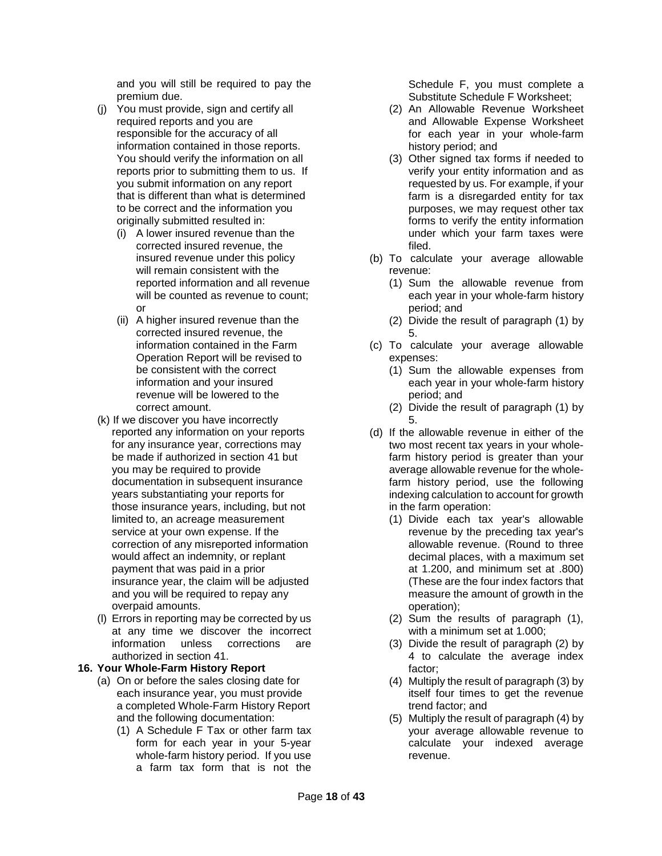and you will still be required to pay the premium due.

- (j) You must provide, sign and certify all required reports and you are responsible for the accuracy of all information contained in those reports. You should verify the information on all reports prior to submitting them to us. If you submit information on any report that is different than what is determined to be correct and the information you originally submitted resulted in:
	- (i) A lower insured revenue than the corrected insured revenue, the insured revenue under this policy will remain consistent with the reported information and all revenue will be counted as revenue to count; or
	- (ii) A higher insured revenue than the corrected insured revenue, the information contained in the Farm Operation Report will be revised to be consistent with the correct information and your insured revenue will be lowered to the correct amount.
- (k) If we discover you have incorrectly reported any information on your reports for any insurance year, corrections may be made if authorized in section 41 but you may be required to provide documentation in subsequent insurance years substantiating your reports for those insurance years, including, but not limited to, an acreage measurement service at your own expense. If the correction of any misreported information would affect an indemnity, or replant payment that was paid in a prior insurance year, the claim will be adjusted and you will be required to repay any overpaid amounts.
- (l) Errors in reporting may be corrected by us at any time we discover the incorrect<br>information unless corrections are information unless authorized in section 41.

## **16. Your Whole-Farm History Report**

- (a) On or before the sales closing date for each insurance year, you must provide a completed Whole-Farm History Report and the following documentation:
	- (1) A Schedule F Tax or other farm tax form for each year in your 5-year whole-farm history period. If you use a farm tax form that is not the

Schedule F, you must complete a Substitute Schedule F Worksheet;

- (2) An Allowable Revenue Worksheet and Allowable Expense Worksheet for each year in your whole-farm history period; and
- (3) Other signed tax forms if needed to verify your entity information and as requested by us. For example, if your farm is a disregarded entity for tax purposes, we may request other tax forms to verify the entity information under which your farm taxes were filed.
- (b) To calculate your average allowable revenue:
	- (1) Sum the allowable revenue from each year in your whole-farm history period; and
	- (2) Divide the result of paragraph (1) by 5.
- (c) To calculate your average allowable expenses:
	- (1) Sum the allowable expenses from each year in your whole-farm history period; and
	- (2) Divide the result of paragraph (1) by 5.
- (d) If the allowable revenue in either of the two most recent tax years in your wholefarm history period is greater than your average allowable revenue for the wholefarm history period, use the following indexing calculation to account for growth in the farm operation:
	- (1) Divide each tax year's allowable revenue by the preceding tax year's allowable revenue. (Round to three decimal places, with a maximum set at 1.200, and minimum set at .800) (These are the four index factors that measure the amount of growth in the operation);
	- (2) Sum the results of paragraph (1), with a minimum set at 1.000;
	- (3) Divide the result of paragraph (2) by 4 to calculate the average index factor;
	- (4) Multiply the result of paragraph (3) by itself four times to get the revenue trend factor; and
	- (5) Multiply the result of paragraph (4) by your average allowable revenue to calculate your indexed average revenue.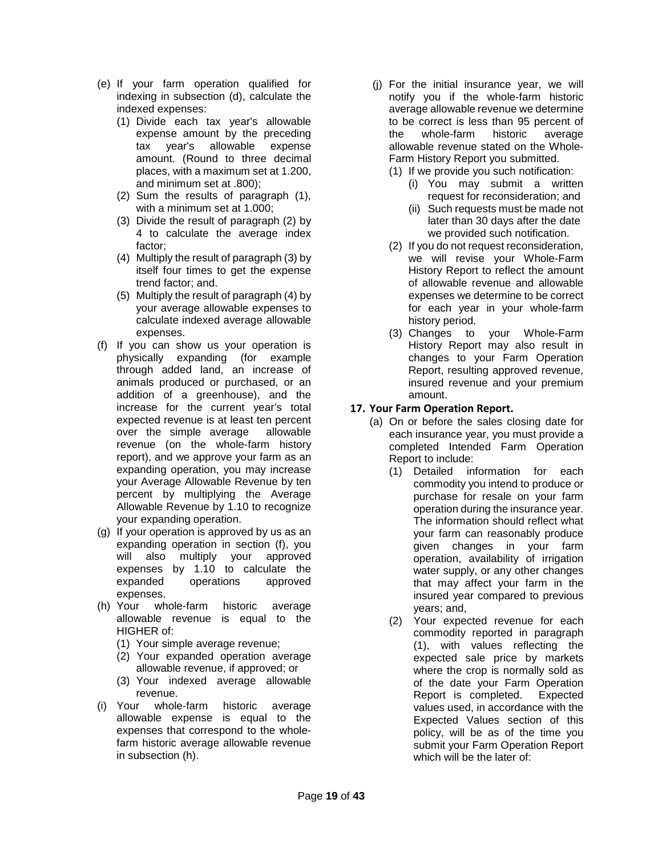- (e) If your farm operation qualified for indexing in subsection (d), calculate the indexed expenses:
	- (1) Divide each tax year's allowable expense amount by the preceding tax year's allowable expense amount. (Round to three decimal places, with a maximum set at 1.200, and minimum set at .800);
	- (2) Sum the results of paragraph (1), with a minimum set at 1.000;
	- (3) Divide the result of paragraph (2) by 4 to calculate the average index factor;
	- (4) Multiply the result of paragraph (3) by itself four times to get the expense trend factor; and.
	- (5) Multiply the result of paragraph (4) by your average allowable expenses to calculate indexed average allowable expenses.
- (f) If you can show us your operation is physically expanding (for example through added land, an increase of animals produced or purchased, or an addition of a greenhouse), and the increase for the current year's total expected revenue is at least ten percent over the simple average allowable revenue (on the whole-farm history report), and we approve your farm as an expanding operation, you may increase your Average Allowable Revenue by ten percent by multiplying the Average Allowable Revenue by 1.10 to recognize your expanding operation.
- (g) If your operation is approved by us as an expanding operation in section (f), you will also multiply your approved expenses by 1.10 to calculate the expanded operations approved expenses.
- (h) Your whole-farm historic average allowable revenue is equal to the HIGHER of:
	- (1) Your simple average revenue;
	- (2) Your expanded operation average allowable revenue, if approved; or
	- (3) Your indexed average allowable
- revenue.<br>i) Your whole whole-farm historic average allowable expense is equal to the expenses that correspond to the wholefarm historic average allowable revenue in subsection (h).
- (j) For the initial insurance year, we will notify you if the whole-farm historic average allowable revenue we determine to be correct is less than 95 percent of the whole-farm historic average allowable revenue stated on the Whole-Farm History Report you submitted.
	- (1) If we provide you such notification:
		- (i) You may submit a written request for reconsideration; and
		- (ii) Such requests must be made not later than 30 days after the date we provided such notification.
	- (2) If you do not request reconsideration, we will revise your Whole-Farm History Report to reflect the amount of allowable revenue and allowable expenses we determine to be correct for each year in your whole-farm history period.
	- (3) Changes to your Whole-Farm History Report may also result in changes to your Farm Operation Report, resulting approved revenue, insured revenue and your premium amount.

## <span id="page-18-0"></span>**17. Your Farm Operation Report.**

- (a) On or before the sales closing date for each insurance year, you must provide a completed Intended Farm Operation Report to include:
	- (1) Detailed information for each commodity you intend to produce or purchase for resale on your farm operation during the insurance year. The information should reflect what your farm can reasonably produce given changes in your farm operation, availability of irrigation water supply, or any other changes that may affect your farm in the insured year compared to previous years; and,
	- (2) Your expected revenue for each commodity reported in paragraph (1), with values reflecting the expected sale price by markets where the crop is normally sold as of the date your Farm Operation Report is completed. Expected values used, in accordance with the Expected Values section of this policy, will be as of the time you submit your Farm Operation Report which will be the later of: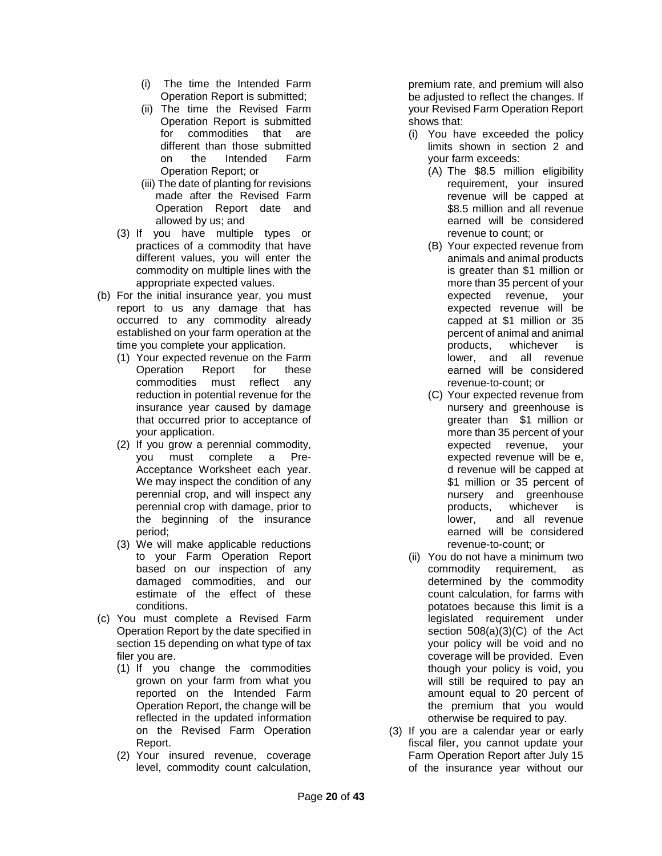- (i) The time the Intended Farm Operation Report is submitted;
- (ii) The time the Revised Farm Operation Report is submitted for commodities that are different than those submitted on the Intended Farm Operation Report; or
- (iii) The date of planting for revisions made after the Revised Farm Operation Report date and allowed by us; and
- (3) If you have multiple types or practices of a commodity that have different values, you will enter the commodity on multiple lines with the appropriate expected values.
- (b) For the initial insurance year, you must report to us any damage that has occurred to any commodity already established on your farm operation at the time you complete your application.
	- (1) Your expected revenue on the Farm Operation Report for these commodities must reflect any reduction in potential revenue for the insurance year caused by damage that occurred prior to acceptance of your application.
	- (2) If you grow a perennial commodity, you must complete a Pre-Acceptance Worksheet each year. We may inspect the condition of any perennial crop, and will inspect any perennial crop with damage, prior to the beginning of the insurance period;
	- (3) We will make applicable reductions to your Farm Operation Report based on our inspection of any damaged commodities, and our estimate of the effect of these conditions.
- (c) You must complete a Revised Farm Operation Report by the date specified in section 15 depending on what type of tax filer you are.
	- (1) If you change the commodities grown on your farm from what you reported on the Intended Farm Operation Report, the change will be reflected in the updated information on the Revised Farm Operation Report.
	- (2) Your insured revenue, coverage level, commodity count calculation,

premium rate, and premium will also be adjusted to reflect the changes. If your Revised Farm Operation Report shows that:

- (i) You have exceeded the policy limits shown in section 2 and your farm exceeds:
	- (A) The \$8.5 million eligibility requirement, your insured revenue will be capped at \$8.5 million and all revenue earned will be considered revenue to count; or
	- (B) Your expected revenue from animals and animal products is greater than \$1 million or more than 35 percent of your expected revenue, your expected revenue will be capped at \$1 million or 35 percent of animal and animal products, whichever is lower, and all revenue earned will be considered revenue-to-count; or
	- (C) Your expected revenue from nursery and greenhouse is greater than \$1 million or more than 35 percent of your expected revenue, your expected revenue will be e, d revenue will be capped at \$1 million or 35 percent of nursery and greenhouse products, whichever is lower, and all revenue earned will be considered revenue-to-count; or
- (ii) You do not have a minimum two commodity requirement, as determined by the commodity count calculation, for farms with potatoes because this limit is a legislated requirement under section 508(a)(3)(C) of the Act your policy will be void and no coverage will be provided. Even though your policy is void, you will still be required to pay an amount equal to 20 percent of the premium that you would otherwise be required to pay.
- (3) If you are a calendar year or early fiscal filer, you cannot update your Farm Operation Report after July 15 of the insurance year without our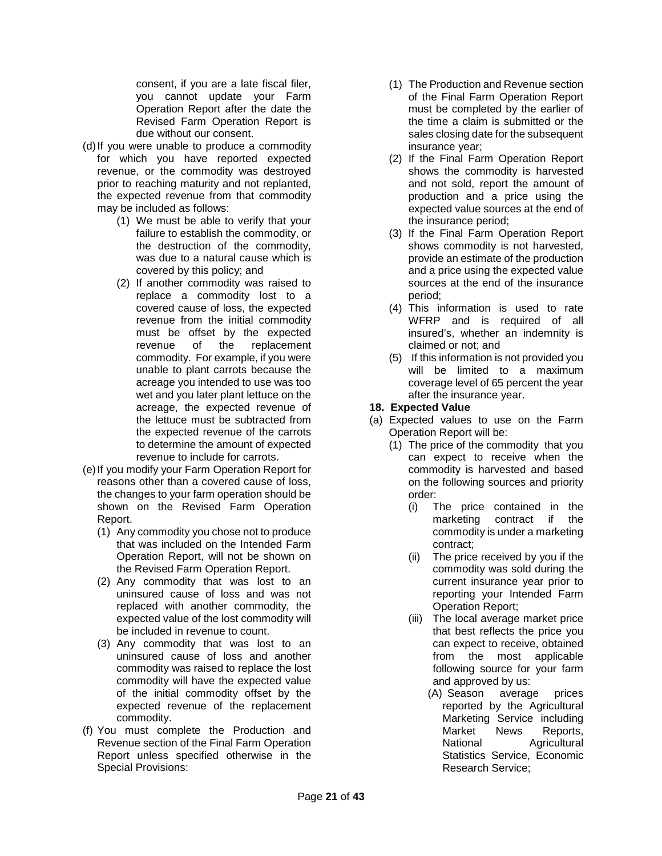consent, if you are a late fiscal filer, you cannot update your Farm Operation Report after the date the Revised Farm Operation Report is due without our consent.

- (d)If you were unable to produce a commodity for which you have reported expected revenue, or the commodity was destroyed prior to reaching maturity and not replanted, the expected revenue from that commodity may be included as follows:
	- (1) We must be able to verify that your failure to establish the commodity, or the destruction of the commodity, was due to a natural cause which is covered by this policy; and
	- (2) If another commodity was raised to replace a commodity lost to a covered cause of loss, the expected revenue from the initial commodity must be offset by the expected revenue of the replacement commodity. For example, if you were unable to plant carrots because the acreage you intended to use was too wet and you later plant lettuce on the acreage, the expected revenue of the lettuce must be subtracted from the expected revenue of the carrots to determine the amount of expected revenue to include for carrots.
- (e)If you modify your Farm Operation Report for reasons other than a covered cause of loss, the changes to your farm operation should be shown on the Revised Farm Operation Report.
	- (1) Any commodity you chose not to produce that was included on the Intended Farm Operation Report, will not be shown on the Revised Farm Operation Report.
	- (2) Any commodity that was lost to an uninsured cause of loss and was not replaced with another commodity, the expected value of the lost commodity will be included in revenue to count.
	- (3) Any commodity that was lost to an uninsured cause of loss and another commodity was raised to replace the lost commodity will have the expected value of the initial commodity offset by the expected revenue of the replacement commodity.
- (f) You must complete the Production and Revenue section of the Final Farm Operation Report unless specified otherwise in the Special Provisions:
- (1) The Production and Revenue section of the Final Farm Operation Report must be completed by the earlier of the time a claim is submitted or the sales closing date for the subsequent insurance year;
- (2) If the Final Farm Operation Report shows the commodity is harvested and not sold, report the amount of production and a price using the expected value sources at the end of the insurance period;
- (3) If the Final Farm Operation Report shows commodity is not harvested, provide an estimate of the production and a price using the expected value sources at the end of the insurance period;
- (4) This information is used to rate WFRP and is required of all insured's, whether an indemnity is claimed or not; and
- (5) If this information is not provided you will be limited to a maximum coverage level of 65 percent the year after the insurance year.

## **18. Expected Value**

- (a) Expected values to use on the Farm Operation Report will be:
	- (1) The price of the commodity that you can expect to receive when the commodity is harvested and based on the following sources and priority order:
		- (i) The price contained in the marketing contract if the commodity is under a marketing contract;
		- (ii) The price received by you if the commodity was sold during the current insurance year prior to reporting your Intended Farm Operation Report;
		- (iii) The local average market price that best reflects the price you can expect to receive, obtained from the most applicable following source for your farm and approved by us:<br>(A) Season average
			- average prices reported by the Agricultural Marketing Service including<br>Market News Reports. Market News Reports,<br>National Agricultural Agricultural Statistics Service, Economic Research Service;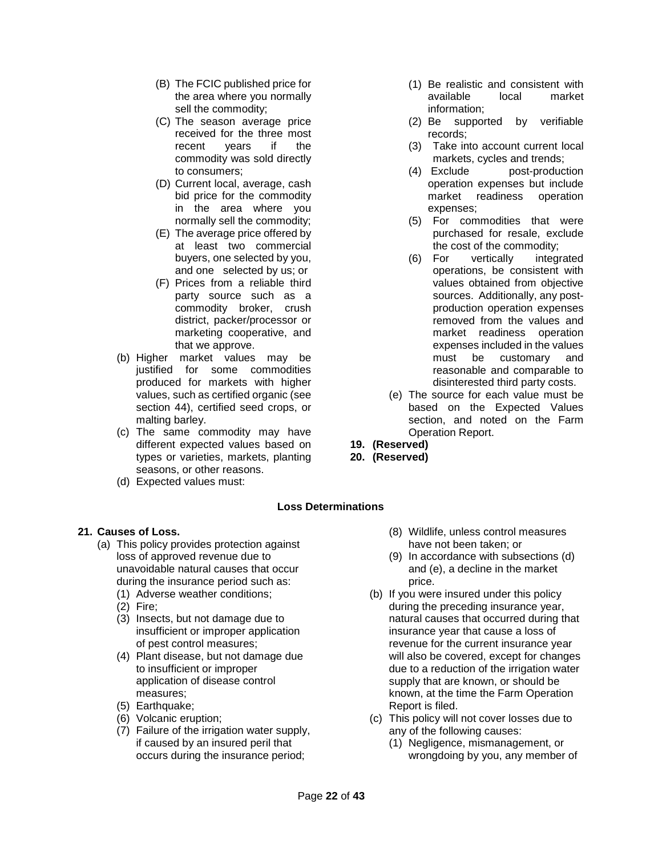- (B) The FCIC published price for the area where you normally sell the commodity;
- (C) The season average price received for the three most recent years if the commodity was sold directly to consumers;
- (D) Current local, average, cash bid price for the commodity in the area where you normally sell the commodity;
- (E) The average price offered by at least two commercial buyers, one selected by you, and one selected by us; or
- (F) Prices from a reliable third party source such as a commodity broker, crush district, packer/processor or marketing cooperative, and that we approve.
- (b) Higher market values may be justified for some commodities produced for markets with higher values, such as certified organic (see section 44), certified seed crops, or malting barley.
- (c) The same commodity may have different expected values based on types or varieties, markets, planting seasons, or other reasons.
- (d) Expected values must:

## **Loss Determinations**

## <span id="page-21-1"></span><span id="page-21-0"></span>**21. Causes of Loss.**

- (a) This policy provides protection against loss of approved revenue due to unavoidable natural causes that occur during the insurance period such as:
	- (1) Adverse weather conditions;
	- (2) Fire;
	- (3) Insects, but not damage due to insufficient or improper application of pest control measures;
	- (4) Plant disease, but not damage due to insufficient or improper application of disease control measures;
	- (5) Earthquake;
	- (6) Volcanic eruption;
	- (7) Failure of the irrigation water supply, if caused by an insured peril that occurs during the insurance period;
- (1) Be realistic and consistent with available local market information;
- (2) Be supported by verifiable records;
- (3) Take into account current local markets, cycles and trends;
- (4) Exclude post-production operation expenses but include market readiness operation expenses;
- (5) For commodities that were purchased for resale, exclude the cost of the commodity;
- (6) For vertically integrated operations, be consistent with values obtained from objective sources. Additionally, any postproduction operation expenses removed from the values and market readiness operation expenses included in the values must be customary and reasonable and comparable to disinterested third party costs.
- (e) The source for each value must be based on the Expected Values section, and noted on the Farm Operation Report.
- **19. (Reserved)**
- **20. (Reserved)**

#### (8) Wildlife, unless control measures have not been taken; or

- (9) In accordance with subsections (d) and (e), a decline in the market price.
- (b) If you were insured under this policy during the preceding insurance year, natural causes that occurred during that insurance year that cause a loss of revenue for the current insurance year will also be covered, except for changes due to a reduction of the irrigation water supply that are known, or should be known, at the time the Farm Operation Report is filed.
- (c) This policy will not cover losses due to any of the following causes:
	- (1) Negligence, mismanagement, or wrongdoing by you, any member of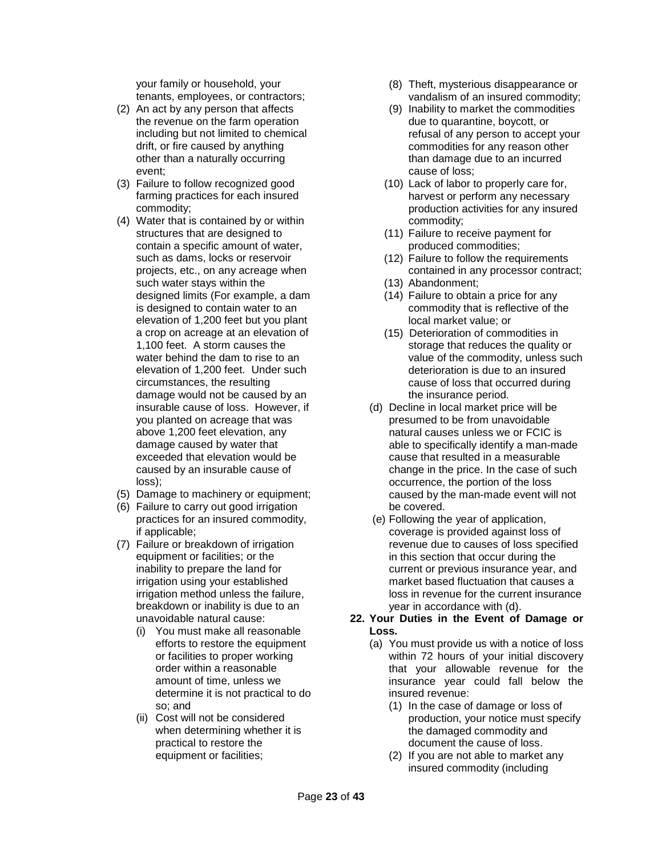your family or household, your tenants, employees, or contractors;

- (2) An act by any person that affects the revenue on the farm operation including but not limited to chemical drift, or fire caused by anything other than a naturally occurring event;
- (3) Failure to follow recognized good farming practices for each insured commodity;
- (4) Water that is contained by or within structures that are designed to contain a specific amount of water, such as dams, locks or reservoir projects, etc., on any acreage when such water stays within the designed limits (For example, a dam is designed to contain water to an elevation of 1,200 feet but you plant a crop on acreage at an elevation of 1,100 feet. A storm causes the water behind the dam to rise to an elevation of 1,200 feet. Under such circumstances, the resulting damage would not be caused by an insurable cause of loss. However, if you planted on acreage that was above 1,200 feet elevation, any damage caused by water that exceeded that elevation would be caused by an insurable cause of loss);
- (5) Damage to machinery or equipment;
- (6) Failure to carry out good irrigation practices for an insured commodity, if applicable;
- (7) Failure or breakdown of irrigation equipment or facilities; or the inability to prepare the land for irrigation using your established irrigation method unless the failure, breakdown or inability is due to an unavoidable natural cause:
	- (i) You must make all reasonable efforts to restore the equipment or facilities to proper working order within a reasonable amount of time, unless we determine it is not practical to do so; and
	- (ii) Cost will not be considered when determining whether it is practical to restore the equipment or facilities;
- (8) Theft, mysterious disappearance or vandalism of an insured commodity;
- (9) Inability to market the commodities due to quarantine, boycott, or refusal of any person to accept your commodities for any reason other than damage due to an incurred cause of loss;
- (10) Lack of labor to properly care for, harvest or perform any necessary production activities for any insured commodity;
- (11) Failure to receive payment for produced commodities;
- (12) Failure to follow the requirements contained in any processor contract;
- (13) Abandonment;
- (14) Failure to obtain a price for any commodity that is reflective of the local market value; or
- (15) Deterioration of commodities in storage that reduces the quality or value of the commodity, unless such deterioration is due to an insured cause of loss that occurred during the insurance period.
- (d) Decline in local market price will be presumed to be from unavoidable natural causes unless we or FCIC is able to specifically identify a man-made cause that resulted in a measurable change in the price. In the case of such occurrence, the portion of the loss caused by the man-made event will not be covered.
- (e) Following the year of application, coverage is provided against loss of revenue due to causes of loss specified in this section that occur during the current or previous insurance year, and market based fluctuation that causes a loss in revenue for the current insurance year in accordance with (d).
- <span id="page-22-0"></span>**22. Your Duties in the Event of Damage or Loss.**
	- (a) You must provide us with a notice of loss within 72 hours of your initial discovery that your allowable revenue for the insurance year could fall below the insured revenue:
		- (1) In the case of damage or loss of production, your notice must specify the damaged commodity and document the cause of loss.
		- (2) If you are not able to market any insured commodity (including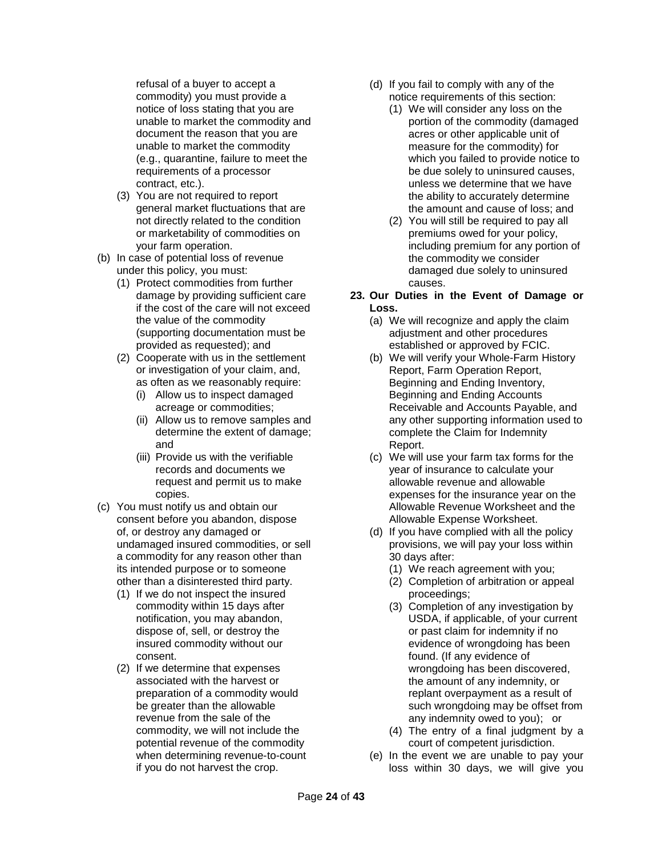refusal of a buyer to accept a commodity) you must provide a notice of loss stating that you are unable to market the commodity and document the reason that you are unable to market the commodity (e.g., quarantine, failure to meet the requirements of a processor contract, etc.).

- (3) You are not required to report general market fluctuations that are not directly related to the condition or marketability of commodities on your farm operation.
- (b) In case of potential loss of revenue under this policy, you must:
	- (1) Protect commodities from further damage by providing sufficient care if the cost of the care will not exceed the value of the commodity (supporting documentation must be provided as requested); and
	- (2) Cooperate with us in the settlement or investigation of your claim, and, as often as we reasonably require:
		- (i) Allow us to inspect damaged acreage or commodities;
		- (ii) Allow us to remove samples and determine the extent of damage; and
		- (iii) Provide us with the verifiable records and documents we request and permit us to make copies.
- (c) You must notify us and obtain our consent before you abandon, dispose of, or destroy any damaged or undamaged insured commodities, or sell a commodity for any reason other than its intended purpose or to someone other than a disinterested third party.
	- (1) If we do not inspect the insured commodity within 15 days after notification, you may abandon, dispose of, sell, or destroy the insured commodity without our consent.
	- (2) If we determine that expenses associated with the harvest or preparation of a commodity would be greater than the allowable revenue from the sale of the commodity, we will not include the potential revenue of the commodity when determining revenue-to-count if you do not harvest the crop.
- (d) If you fail to comply with any of the notice requirements of this section:
	- (1) We will consider any loss on the portion of the commodity (damaged acres or other applicable unit of measure for the commodity) for which you failed to provide notice to be due solely to uninsured causes, unless we determine that we have the ability to accurately determine the amount and cause of loss; and
	- (2) You will still be required to pay all premiums owed for your policy, including premium for any portion of the commodity we consider damaged due solely to uninsured causes.
- <span id="page-23-0"></span>**23. Our Duties in the Event of Damage or Loss.**
	- (a) We will recognize and apply the claim adjustment and other procedures established or approved by FCIC.
	- (b) We will verify your Whole-Farm History Report, Farm Operation Report, Beginning and Ending Inventory, Beginning and Ending Accounts Receivable and Accounts Payable, and any other supporting information used to complete the Claim for Indemnity Report.
	- (c) We will use your farm tax forms for the year of insurance to calculate your allowable revenue and allowable expenses for the insurance year on the Allowable Revenue Worksheet and the Allowable Expense Worksheet.
	- (d) If you have complied with all the policy provisions, we will pay your loss within 30 days after:
		- (1) We reach agreement with you;
		- (2) Completion of arbitration or appeal proceedings;
		- (3) Completion of any investigation by USDA, if applicable, of your current or past claim for indemnity if no evidence of wrongdoing has been found. (If any evidence of wrongdoing has been discovered, the amount of any indemnity, or replant overpayment as a result of such wrongdoing may be offset from any indemnity owed to you); or
		- (4) The entry of a final judgment by a court of competent jurisdiction.
	- (e) In the event we are unable to pay your loss within 30 days, we will give you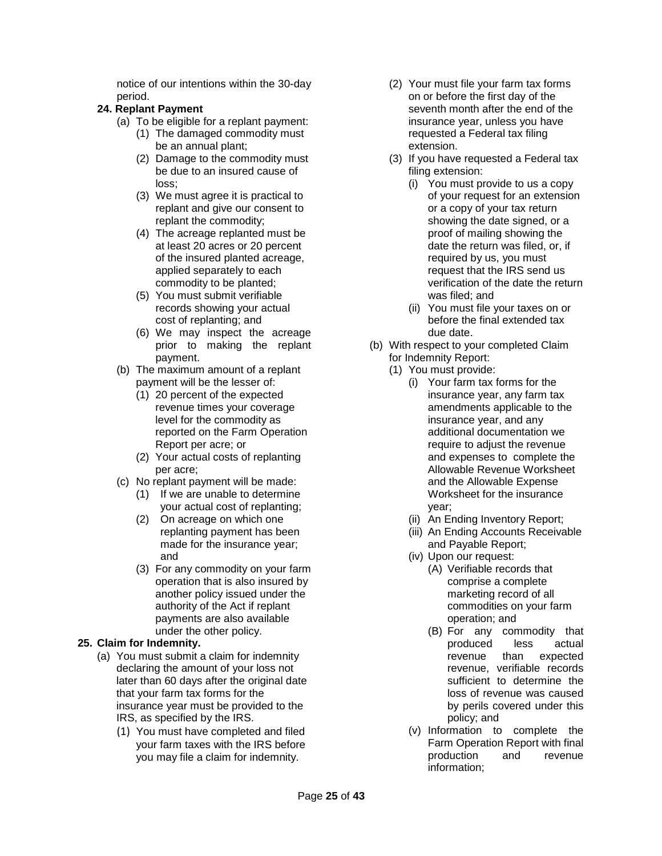notice of our intentions within the 30-day period.

# **24. Replant Payment**

- (a) To be eligible for a replant payment:
	- (1) The damaged commodity must be an annual plant;
	- (2) Damage to the commodity must be due to an insured cause of loss;
	- (3) We must agree it is practical to replant and give our consent to replant the commodity;
	- (4) The acreage replanted must be at least 20 acres or 20 percent of the insured planted acreage, applied separately to each commodity to be planted;
	- (5) You must submit verifiable records showing your actual cost of replanting; and
	- (6) We may inspect the acreage prior to making the replant payment.
- (b) The maximum amount of a replant payment will be the lesser of:
	- (1) 20 percent of the expected revenue times your coverage level for the commodity as reported on the Farm Operation Report per acre; or
	- (2) Your actual costs of replanting per acre;
- (c) No replant payment will be made:
	- (1) If we are unable to determine your actual cost of replanting;
	- (2) On acreage on which one replanting payment has been made for the insurance year; and
	- (3) For any commodity on your farm operation that is also insured by another policy issued under the authority of the Act if replant payments are also available under the other policy.

# <span id="page-24-0"></span>**25. Claim for Indemnity.**

- (a) You must submit a claim for indemnity declaring the amount of your loss not later than 60 days after the original date that your farm tax forms for the insurance year must be provided to the IRS, as specified by the IRS.
	- (1) You must have completed and filed your farm taxes with the IRS before you may file a claim for indemnity.
- (2) Your must file your farm tax forms on or before the first day of the seventh month after the end of the insurance year, unless you have requested a Federal tax filing extension.
- (3) If you have requested a Federal tax filing extension:
	- (i) You must provide to us a copy of your request for an extension or a copy of your tax return showing the date signed, or a proof of mailing showing the date the return was filed, or, if required by us, you must request that the IRS send us verification of the date the return was filed; and
	- (ii) You must file your taxes on or before the final extended tax due date.
- (b) With respect to your completed Claim for Indemnity Report:
	- (1) You must provide:
		- (i) Your farm tax forms for the insurance year, any farm tax amendments applicable to the insurance year, and any additional documentation we require to adjust the revenue and expenses to complete the Allowable Revenue Worksheet and the Allowable Expense Worksheet for the insurance year;
		- (ii) An Ending Inventory Report;
		- (iii) An Ending Accounts Receivable and Payable Report;
		- (iv) Upon our request:
			- (A) Verifiable records that comprise a complete marketing record of all commodities on your farm operation; and
			- (B) For any commodity that produced less actual revenue than expected revenue, verifiable records sufficient to determine the loss of revenue was caused by perils covered under this policy; and
		- (v) Information to complete the Farm Operation Report with final production and revenue information;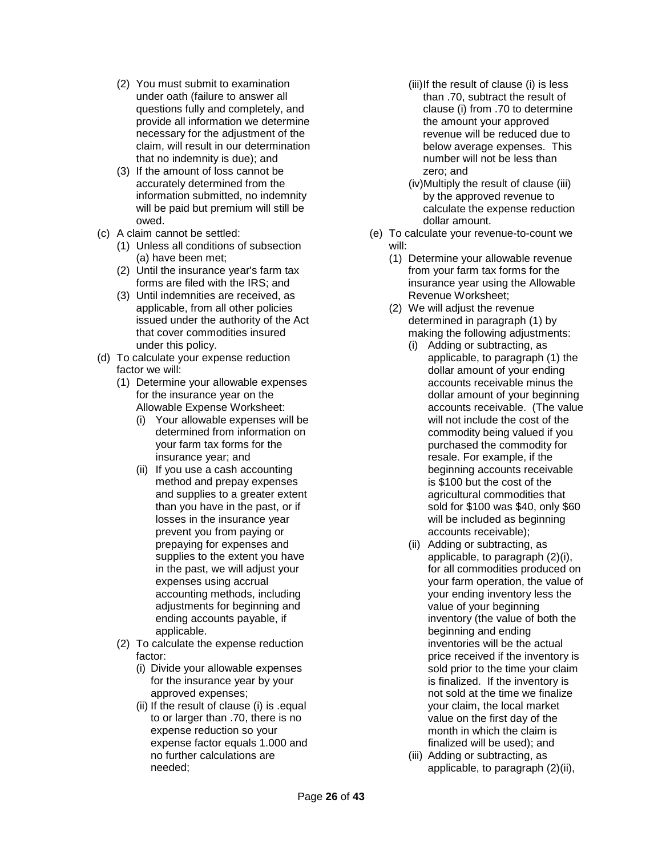- (2) You must submit to examination under oath (failure to answer all questions fully and completely, and provide all information we determine necessary for the adjustment of the claim, will result in our determination that no indemnity is due); and
- (3) If the amount of loss cannot be accurately determined from the information submitted, no indemnity will be paid but premium will still be owed.
- (c) A claim cannot be settled:
	- (1) Unless all conditions of subsection (a) have been met;
	- (2) Until the insurance year's farm tax forms are filed with the IRS; and
	- (3) Until indemnities are received, as applicable, from all other policies issued under the authority of the Act that cover commodities insured under this policy.
- (d) To calculate your expense reduction factor we will:
	- (1) Determine your allowable expenses for the insurance year on the Allowable Expense Worksheet:
		- (i) Your allowable expenses will be determined from information on your farm tax forms for the insurance year; and
		- (ii) If you use a cash accounting method and prepay expenses and supplies to a greater extent than you have in the past, or if losses in the insurance year prevent you from paying or prepaying for expenses and supplies to the extent you have in the past, we will adjust your expenses using accrual accounting methods, including adjustments for beginning and ending accounts payable, if applicable.
	- (2) To calculate the expense reduction factor:
		- (i) Divide your allowable expenses for the insurance year by your approved expenses;
		- (ii) If the result of clause (i) is .equal to or larger than .70, there is no expense reduction so your expense factor equals 1.000 and no further calculations are needed;
- (iii)If the result of clause (i) is less than .70, subtract the result of clause (i) from .70 to determine the amount your approved revenue will be reduced due to below average expenses. This number will not be less than zero; and
- (iv)Multiply the result of clause (iii) by the approved revenue to calculate the expense reduction dollar amount.
- (e) To calculate your revenue-to-count we will:
	- (1) Determine your allowable revenue from your farm tax forms for the insurance year using the Allowable Revenue Worksheet;
	- (2) We will adjust the revenue determined in paragraph (1) by making the following adjustments:
		- (i) Adding or subtracting, as applicable, to paragraph (1) the dollar amount of your ending accounts receivable minus the dollar amount of your beginning accounts receivable. (The value will not include the cost of the commodity being valued if you purchased the commodity for resale. For example, if the beginning accounts receivable is \$100 but the cost of the agricultural commodities that sold for \$100 was \$40, only \$60 will be included as beginning accounts receivable);
		- (ii) Adding or subtracting, as applicable, to paragraph (2)(i), for all commodities produced on your farm operation, the value of your ending inventory less the value of your beginning inventory (the value of both the beginning and ending inventories will be the actual price received if the inventory is sold prior to the time your claim is finalized. If the inventory is not sold at the time we finalize your claim, the local market value on the first day of the month in which the claim is finalized will be used); and
		- (iii) Adding or subtracting, as applicable, to paragraph (2)(ii),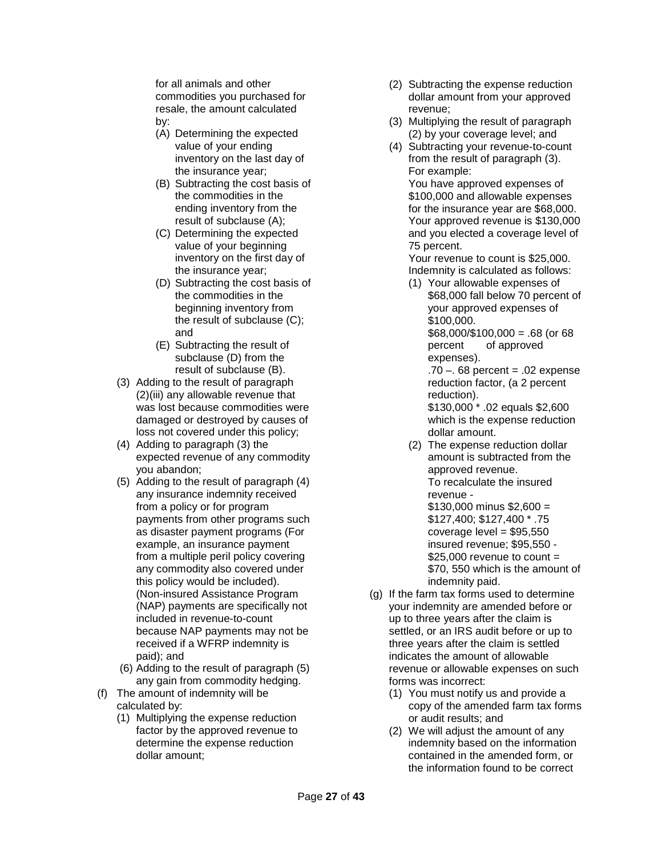for all animals and other commodities you purchased for resale, the amount calculated by:

- (A) Determining the expected value of your ending inventory on the last day of the insurance year;
- (B) Subtracting the cost basis of the commodities in the ending inventory from the result of subclause (A);
- (C) Determining the expected value of your beginning inventory on the first day of the insurance year;
- (D) Subtracting the cost basis of the commodities in the beginning inventory from the result of subclause (C); and
- (E) Subtracting the result of subclause (D) from the result of subclause (B).
- (3) Adding to the result of paragraph (2)(iii) any allowable revenue that was lost because commodities were damaged or destroyed by causes of loss not covered under this policy;
- (4) Adding to paragraph (3) the expected revenue of any commodity you abandon;
- (5) Adding to the result of paragraph (4) any insurance indemnity received from a policy or for program payments from other programs such as disaster payment programs (For example, an insurance payment from a multiple peril policy covering any commodity also covered under this policy would be included). (Non-insured Assistance Program (NAP) payments are specifically not included in revenue-to-count because NAP payments may not be received if a WFRP indemnity is paid); and
- (6) Adding to the result of paragraph (5) any gain from commodity hedging.
- (f) The amount of indemnity will be calculated by:
	- (1) Multiplying the expense reduction factor by the approved revenue to determine the expense reduction dollar amount;
- (2) Subtracting the expense reduction dollar amount from your approved revenue;
- (3) Multiplying the result of paragraph (2) by your coverage level; and
- (4) Subtracting your revenue-to-count from the result of paragraph (3). For example:

You have approved expenses of \$100,000 and allowable expenses for the insurance year are \$68,000. Your approved revenue is \$130,000 and you elected a coverage level of 75 percent.

Your revenue to count is \$25,000. Indemnity is calculated as follows:

(1) Your allowable expenses of \$68,000 fall below 70 percent of your approved expenses of \$100,000. \$68,000/\$100,000 = .68 (or 68 percent of approved expenses).

> $.70 - .68$  percent =  $.02$  expense reduction factor, (a 2 percent reduction).

\$130,000 \* .02 equals \$2,600 which is the expense reduction dollar amount.

(2) The expense reduction dollar amount is subtracted from the approved revenue. To recalculate the insured revenue -  $$130,000$  minus  $$2,600 =$ \$127,400; \$127,400 \* .75

 $coverage$  level =  $$95,550$ insured revenue; \$95,550 -  $$25.000$  revenue to count = \$70, 550 which is the amount of indemnity paid.

- (g) If the farm tax forms used to determine your indemnity are amended before or up to three years after the claim is settled, or an IRS audit before or up to three years after the claim is settled indicates the amount of allowable revenue or allowable expenses on such forms was incorrect:
	- (1) You must notify us and provide a copy of the amended farm tax forms or audit results; and
	- (2) We will adjust the amount of any indemnity based on the information contained in the amended form, or the information found to be correct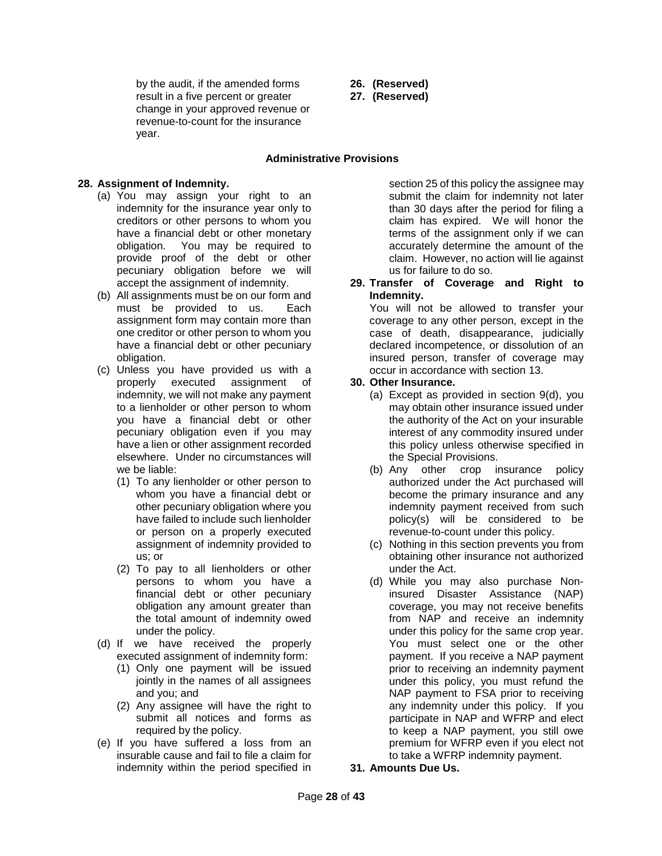by the audit, if the amended forms result in a five percent or greater change in your approved revenue or revenue-to-count for the insurance year.

- **26. (Reserved)**
- **27. (Reserved)**

### **Administrative Provisions**

### <span id="page-27-0"></span>**28. Assignment of Indemnity.**

- (a) You may assign your right to an indemnity for the insurance year only to creditors or other persons to whom you have a financial debt or other monetary obligation. You may be required to provide proof of the debt or other pecuniary obligation before we will accept the assignment of indemnity.
- (b) All assignments must be on our form and must be provided to us. Each assignment form may contain more than one creditor or other person to whom you have a financial debt or other pecuniary obligation.
- (c) Unless you have provided us with a properly executed assignment of indemnity, we will not make any payment to a lienholder or other person to whom you have a financial debt or other pecuniary obligation even if you may have a lien or other assignment recorded elsewhere. Under no circumstances will we be liable:
	- (1) To any lienholder or other person to whom you have a financial debt or other pecuniary obligation where you have failed to include such lienholder or person on a properly executed assignment of indemnity provided to us; or
	- (2) To pay to all lienholders or other persons to whom you have a financial debt or other pecuniary obligation any amount greater than the total amount of indemnity owed under the policy.
- (d) If we have received the properly executed assignment of indemnity form:
	- (1) Only one payment will be issued jointly in the names of all assignees and you; and
	- (2) Any assignee will have the right to submit all notices and forms as required by the policy.
- (e) If you have suffered a loss from an insurable cause and fail to file a claim for indemnity within the period specified in

section 25 of this policy the assignee may submit the claim for indemnity not later than 30 days after the period for filing a claim has expired. We will honor the terms of the assignment only if we can accurately determine the amount of the claim. However, no action will lie against us for failure to do so.

**29. Transfer of Coverage and Right to Indemnity.**

You will not be allowed to transfer your coverage to any other person, except in the case of death, disappearance, judicially declared incompetence, or dissolution of an insured person, transfer of coverage may occur in accordance with section 13.

### **30. Other Insurance.**

- (a) Except as provided in section 9(d), you may obtain other insurance issued under the authority of the Act on your insurable interest of any commodity insured under this policy unless otherwise specified in the Special Provisions.
- (b) Any other crop insurance policy authorized under the Act purchased will become the primary insurance and any indemnity payment received from such policy(s) will be considered to be revenue-to-count under this policy.
- (c) Nothing in this section prevents you from obtaining other insurance not authorized under the Act.
- (d) While you may also purchase Noninsured Disaster Assistance (NAP) coverage, you may not receive benefits from NAP and receive an indemnity under this policy for the same crop year. You must select one or the other payment. If you receive a NAP payment prior to receiving an indemnity payment under this policy, you must refund the NAP payment to FSA prior to receiving any indemnity under this policy. If you participate in NAP and WFRP and elect to keep a NAP payment, you still owe premium for WFRP even if you elect not to take a WFRP indemnity payment.
- **31. Amounts Due Us.**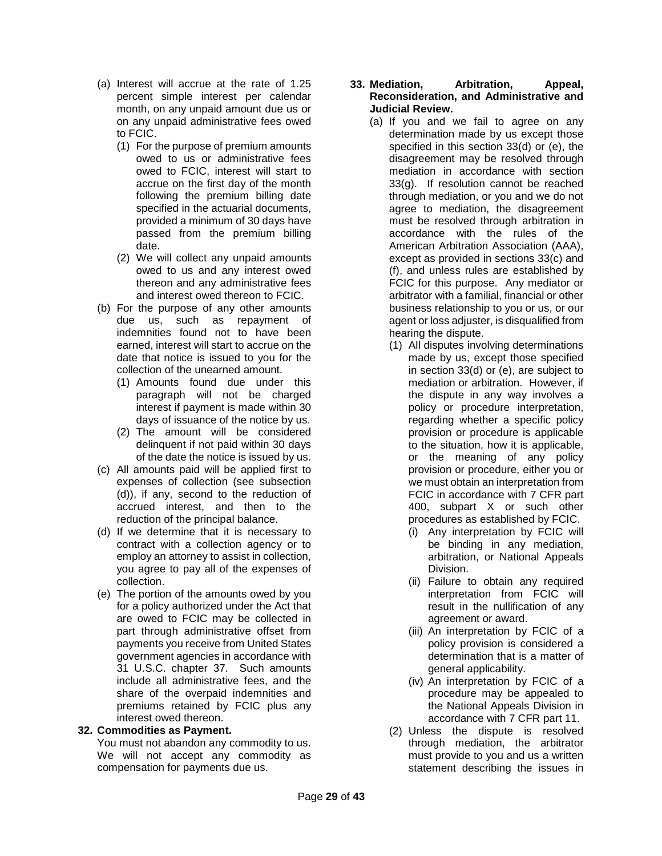- (a) Interest will accrue at the rate of 1.25 percent simple interest per calendar month, on any unpaid amount due us or on any unpaid administrative fees owed to FCIC.
	- (1) For the purpose of premium amounts owed to us or administrative fees owed to FCIC, interest will start to accrue on the first day of the month following the premium billing date specified in the actuarial documents, provided a minimum of 30 days have passed from the premium billing date.
	- (2) We will collect any unpaid amounts owed to us and any interest owed thereon and any administrative fees and interest owed thereon to FCIC.
- (b) For the purpose of any other amounts due us, such as repayment of indemnities found not to have been earned, interest will start to accrue on the date that notice is issued to you for the collection of the unearned amount.
	- (1) Amounts found due under this paragraph will not be charged interest if payment is made within 30 days of issuance of the notice by us.
	- (2) The amount will be considered delinquent if not paid within 30 days of the date the notice is issued by us.
- (c) All amounts paid will be applied first to expenses of collection (see subsection (d)), if any, second to the reduction of accrued interest, and then to the reduction of the principal balance.
- (d) If we determine that it is necessary to contract with a collection agency or to employ an attorney to assist in collection, you agree to pay all of the expenses of collection.
- (e) The portion of the amounts owed by you for a policy authorized under the Act that are owed to FCIC may be collected in part through administrative offset from payments you receive from United States government agencies in accordance with 31 U.S.C. chapter 37. Such amounts include all administrative fees, and the share of the overpaid indemnities and premiums retained by FCIC plus any interest owed thereon.

## **32. Commodities as Payment.**

You must not abandon any commodity to us. We will not accept any commodity as compensation for payments due us.

### **33. Mediation, Arbitration, Appeal, Reconsideration, and Administrative and Judicial Review.**

- (a) If you and we fail to agree on any determination made by us except those specified in this section 33(d) or (e), the disagreement may be resolved through mediation in accordance with section 33(g). If resolution cannot be reached through mediation, or you and we do not agree to mediation, the disagreement must be resolved through arbitration in accordance with the rules of the American Arbitration Association (AAA), except as provided in sections 33(c) and (f), and unless rules are established by FCIC for this purpose. Any mediator or arbitrator with a familial, financial or other business relationship to you or us, or our agent or loss adjuster, is disqualified from hearing the dispute.
	- (1) All disputes involving determinations made by us, except those specified in section 33(d) or (e), are subject to mediation or arbitration. However, if the dispute in any way involves a policy or procedure interpretation, regarding whether a specific policy provision or procedure is applicable to the situation, how it is applicable, or the meaning of any policy provision or procedure, either you or we must obtain an interpretation from FCIC in accordance with 7 CFR part 400, subpart X or such other procedures as established by FCIC.
		- (i) Any interpretation by FCIC will be binding in any mediation, arbitration, or National Appeals Division.
		- (ii) Failure to obtain any required interpretation from FCIC will result in the nullification of any agreement or award.
		- (iii) An interpretation by FCIC of a policy provision is considered a determination that is a matter of general applicability.
		- (iv) An interpretation by FCIC of a procedure may be appealed to the National Appeals Division in accordance with 7 CFR part 11.
	- (2) Unless the dispute is resolved through mediation, the arbitrator must provide to you and us a written statement describing the issues in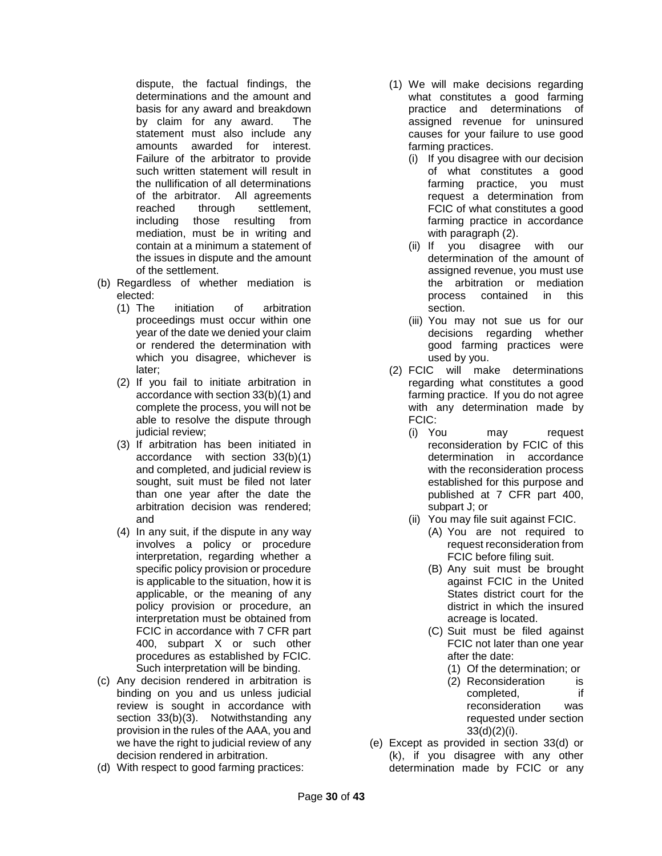dispute, the factual findings, the determinations and the amount and basis for any award and breakdown by claim for any award. The statement must also include any amounts awarded for interest. Failure of the arbitrator to provide such written statement will result in the nullification of all determinations of the arbitrator. All agreements reached through settlement, including those resulting from mediation, must be in writing and contain at a minimum a statement of the issues in dispute and the amount of the settlement.

- (b) Regardless of whether mediation is elected:
	- (1) The initiation of arbitration proceedings must occur within one year of the date we denied your claim or rendered the determination with which you disagree, whichever is later;
	- (2) If you fail to initiate arbitration in accordance with section 33(b)(1) and complete the process, you will not be able to resolve the dispute through judicial review;
	- (3) If arbitration has been initiated in accordance with section 33(b)(1) and completed, and judicial review is sought, suit must be filed not later than one year after the date the arbitration decision was rendered; and
	- (4) In any suit, if the dispute in any way involves a policy or procedure interpretation, regarding whether a specific policy provision or procedure is applicable to the situation, how it is applicable, or the meaning of any policy provision or procedure, an interpretation must be obtained from FCIC in accordance with 7 CFR part 400, subpart X or such other procedures as established by FCIC. Such interpretation will be binding.
- (c) Any decision rendered in arbitration is binding on you and us unless judicial review is sought in accordance with section 33(b)(3). Notwithstanding any provision in the rules of the AAA, you and we have the right to judicial review of any decision rendered in arbitration.
- (d) With respect to good farming practices:
- (1) We will make decisions regarding what constitutes a good farming practice and determinations of assigned revenue for uninsured causes for your failure to use good farming practices.
	- (i) If you disagree with our decision of what constitutes a good farming practice, you must request a determination from FCIC of what constitutes a good farming practice in accordance with paragraph (2).
	- (ii) If you disagree with our determination of the amount of assigned revenue, you must use the arbitration or mediation process contained in this section.
	- (iii) You may not sue us for our decisions regarding whether good farming practices were used by you.
- (2) FCIC will make determinations regarding what constitutes a good farming practice. If you do not agree with any determination made by FCIC:
	- (i) You may request reconsideration by FCIC of this determination in accordance with the reconsideration process established for this purpose and published at 7 CFR part 400, subpart J; or
	- (ii) You may file suit against FCIC.
		- (A) You are not required to request reconsideration from FCIC before filing suit.
		- (B) Any suit must be brought against FCIC in the United States district court for the district in which the insured acreage is located.
		- (C) Suit must be filed against FCIC not later than one year after the date:
			- (1) Of the determination; or
			- (2) Reconsideration is completed, if reconsideration was requested under section 33(d)(2)(i).
- (e) Except as provided in section 33(d) or (k), if you disagree with any other determination made by FCIC or any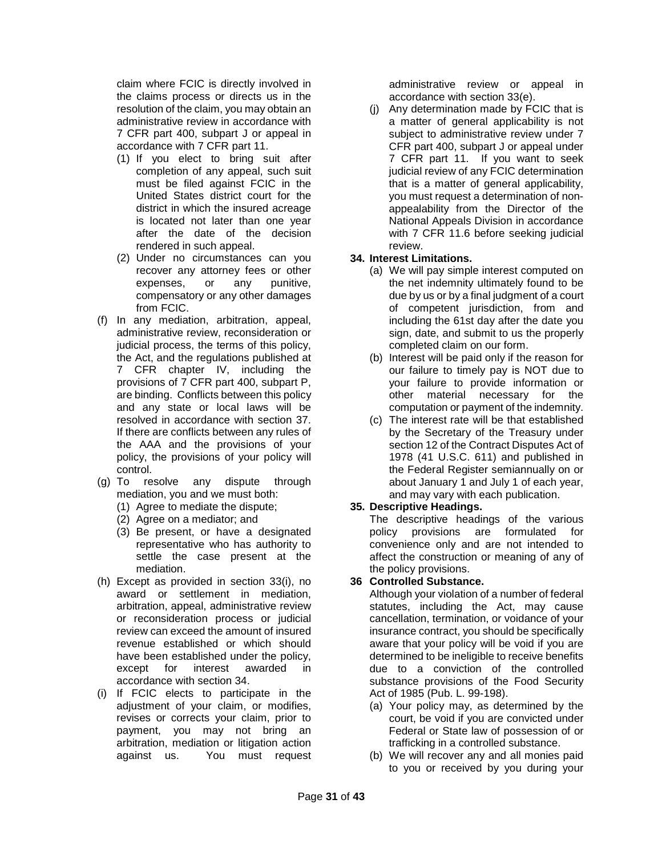claim where FCIC is directly involved in the claims process or directs us in the resolution of the claim, you may obtain an administrative review in accordance with 7 CFR part 400, subpart J or appeal in accordance with 7 CFR part 11.

- (1) If you elect to bring suit after completion of any appeal, such suit must be filed against FCIC in the United States district court for the district in which the insured acreage is located not later than one year after the date of the decision rendered in such appeal.
- (2) Under no circumstances can you recover any attorney fees or other expenses, or any punitive, compensatory or any other damages from FCIC.
- (f) In any mediation, arbitration, appeal, administrative review, reconsideration or judicial process, the terms of this policy, the Act, and the regulations published at 7 CFR chapter IV, including the provisions of 7 CFR part 400, subpart P, are binding. Conflicts between this policy and any state or local laws will be resolved in accordance with section 37. If there are conflicts between any rules of the AAA and the provisions of your policy, the provisions of your policy will control.
- (g) To resolve any dispute through mediation, you and we must both:
	- (1) Agree to mediate the dispute;
	- (2) Agree on a mediator; and
	- (3) Be present, or have a designated representative who has authority to settle the case present at the mediation.
- (h) Except as provided in section 33(i), no award or settlement in mediation, arbitration, appeal, administrative review or reconsideration process or judicial review can exceed the amount of insured revenue established or which should have been established under the policy, except for interest awarded in accordance with section 34.
- (i) If FCIC elects to participate in the adjustment of your claim, or modifies, revises or corrects your claim, prior to payment, you may not bring an arbitration, mediation or litigation action against us. You must request

administrative review or appeal in accordance with section 33(e).

(j) Any determination made by FCIC that is a matter of general applicability is not subject to administrative review under 7 CFR part 400, subpart J or appeal under 7 CFR part 11. If you want to seek judicial review of any FCIC determination that is a matter of general applicability, you must request a determination of nonappealability from the Director of the National Appeals Division in accordance with 7 CFR 11.6 before seeking judicial review.

## **34. Interest Limitations.**

- (a) We will pay simple interest computed on the net indemnity ultimately found to be due by us or by a final judgment of a court of competent jurisdiction, from and including the 61st day after the date you sign, date, and submit to us the properly completed claim on our form.
- (b) Interest will be paid only if the reason for our failure to timely pay is NOT due to your failure to provide information or other material necessary for the computation or payment of the indemnity.
- (c) The interest rate will be that established by the Secretary of the Treasury under section 12 of the Contract Disputes Act of 1978 (41 U.S.C. 611) and published in the Federal Register semiannually on or about January 1 and July 1 of each year, and may vary with each publication.

# **35. Descriptive Headings.**

The descriptive headings of the various policy provisions are formulated for convenience only and are not intended to affect the construction or meaning of any of the policy provisions.

## **36 Controlled Substance.**

Although your violation of a number of federal statutes, including the Act, may cause cancellation, termination, or voidance of your insurance contract, you should be specifically aware that your policy will be void if you are determined to be ineligible to receive benefits due to a conviction of the controlled substance provisions of the Food Security Act of 1985 (Pub. L. 99-198).

- (a) Your policy may, as determined by the court, be void if you are convicted under Federal or State law of possession of or trafficking in a controlled substance.
- (b) We will recover any and all monies paid to you or received by you during your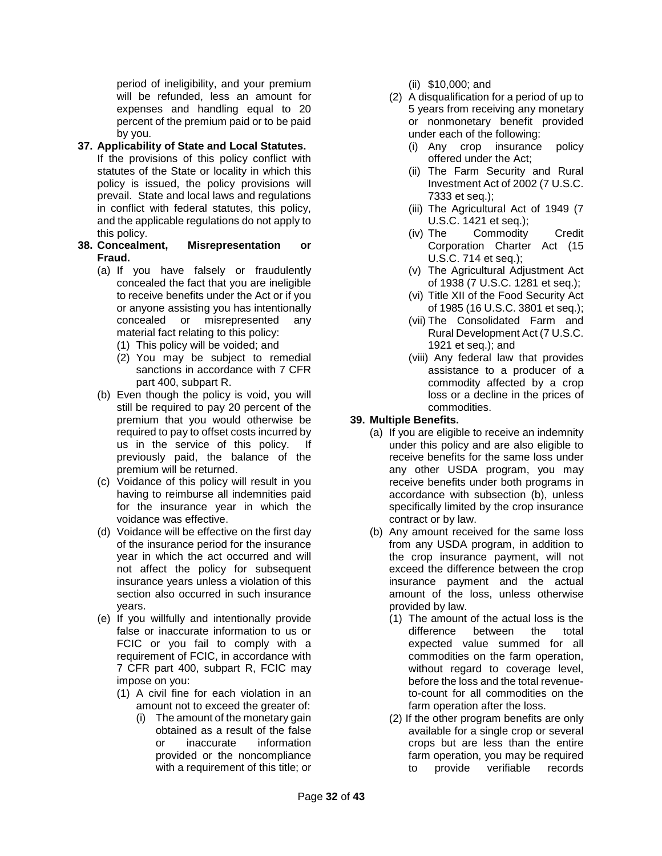period of ineligibility, and your premium will be refunded, less an amount for expenses and handling equal to 20 percent of the premium paid or to be paid by you.

## **37. Applicability of State and Local Statutes.**

- If the provisions of this policy conflict with statutes of the State or locality in which this policy is issued, the policy provisions will prevail. State and local laws and regulations in conflict with federal statutes, this policy, and the applicable regulations do not apply to this policy.
- **38. Concealment, Misrepresentation or Fraud.**
	- (a) If you have falsely or fraudulently concealed the fact that you are ineligible to receive benefits under the Act or if you or anyone assisting you has intentionally concealed or misrepresented any material fact relating to this policy:
		- (1) This policy will be voided; and
		- (2) You may be subject to remedial sanctions in accordance with 7 CFR part 400, subpart R.
	- (b) Even though the policy is void, you will still be required to pay 20 percent of the premium that you would otherwise be required to pay to offset costs incurred by us in the service of this policy. If previously paid, the balance of the premium will be returned.
	- (c) Voidance of this policy will result in you having to reimburse all indemnities paid for the insurance year in which the voidance was effective.
	- (d) Voidance will be effective on the first day of the insurance period for the insurance year in which the act occurred and will not affect the policy for subsequent insurance years unless a violation of this section also occurred in such insurance years.
	- (e) If you willfully and intentionally provide false or inaccurate information to us or FCIC or you fail to comply with a requirement of FCIC, in accordance with 7 CFR part 400, subpart R, FCIC may impose on you:
		- (1) A civil fine for each violation in an amount not to exceed the greater of:
			- (i) The amount of the monetary gain obtained as a result of the false<br>or inaccurate information or inaccurate information provided or the noncompliance with a requirement of this title; or
- (ii) \$10,000; and
- (2) A disqualification for a period of up to 5 years from receiving any monetary or nonmonetary benefit provided under each of the following:
	- (i) Any crop insurance policy offered under the Act;
	- (ii) The Farm Security and Rural Investment Act of 2002 (7 U.S.C. 7333 et seq.);
	- (iii) The Agricultural Act of 1949 (7 U.S.C. 1421 et seq.);
	- (iv) The Commodity Credit Corporation Charter Act (15 U.S.C. 714 et seq.);
	- (v) The Agricultural Adjustment Act of 1938 (7 U.S.C. 1281 et seq.);
	- (vi) Title XII of the Food Security Act of 1985 (16 U.S.C. 3801 et seq.);
	- (vii) The Consolidated Farm and Rural Development Act (7 U.S.C. 1921 et seq.); and
	- (viii) Any federal law that provides assistance to a producer of a commodity affected by a crop loss or a decline in the prices of commodities.

## **39. Multiple Benefits.**

- (a) If you are eligible to receive an indemnity under this policy and are also eligible to receive benefits for the same loss under any other USDA program, you may receive benefits under both programs in accordance with subsection (b), unless specifically limited by the crop insurance contract or by law.
- (b) Any amount received for the same loss from any USDA program, in addition to the crop insurance payment, will not exceed the difference between the crop insurance payment and the actual amount of the loss, unless otherwise provided by law.
	- (1) The amount of the actual loss is the difference between the total expected value summed for all commodities on the farm operation, without regard to coverage level, before the loss and the total revenueto-count for all commodities on the farm operation after the loss.
	- (2) If the other program benefits are only available for a single crop or several crops but are less than the entire farm operation, you may be required to provide verifiable records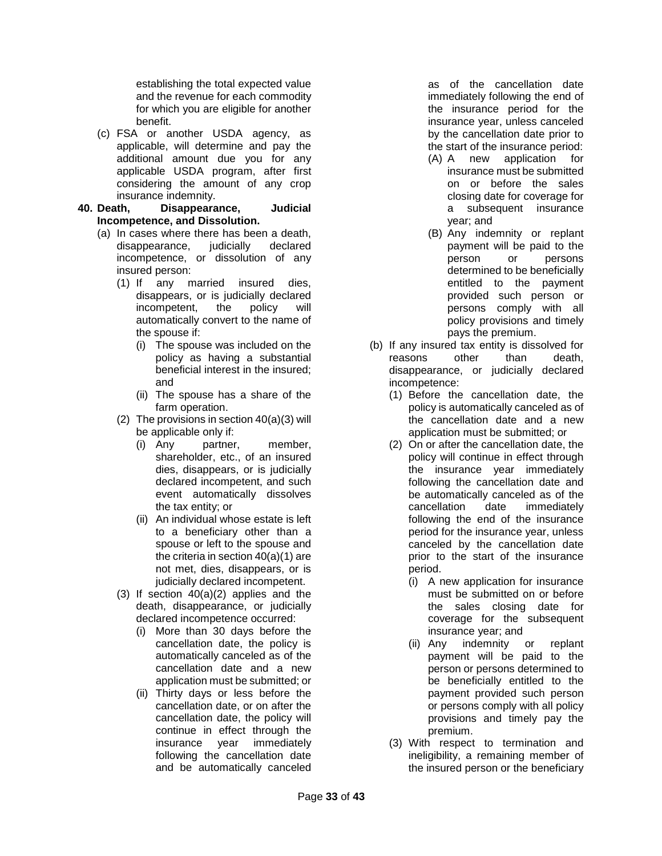establishing the total expected value and the revenue for each commodity for which you are eligible for another benefit.

- (c) FSA or another USDA agency, as applicable, will determine and pay the additional amount due you for any applicable USDA program, after first considering the amount of any crop
- insurance indemnity.<br>40. Death. Disappeara **40. Death, Disappearance, Judicial Incompetence, and Dissolution.**
	- (a) In cases where there has been a death, disappearance, judicially declared incompetence, or dissolution of any insured person:
		- (1) If any married insured dies, disappears, or is judicially declared incompetent, the policy will automatically convert to the name of the spouse if:
			- (i) The spouse was included on the policy as having a substantial beneficial interest in the insured; and
			- (ii) The spouse has a share of the farm operation.
		- (2) The provisions in section 40(a)(3) will be applicable only if:
			- (i) Any partner, member, shareholder, etc., of an insured dies, disappears, or is judicially declared incompetent, and such event automatically dissolves the tax entity; or
			- (ii) An individual whose estate is left to a beneficiary other than a spouse or left to the spouse and the criteria in section 40(a)(1) are not met, dies, disappears, or is judicially declared incompetent.
		- (3) If section 40(a)(2) applies and the death, disappearance, or judicially declared incompetence occurred:
			- (i) More than 30 days before the cancellation date, the policy is automatically canceled as of the cancellation date and a new application must be submitted; or
			- (ii) Thirty days or less before the cancellation date, or on after the cancellation date, the policy will continue in effect through the insurance year immediately following the cancellation date and be automatically canceled

as of the cancellation date immediately following the end of the insurance period for the insurance year, unless canceled by the cancellation date prior to the start of the insurance period:

- (A) A new application for insurance must be submitted on or before the sales closing date for coverage for a subsequent insurance year; and
- (B) Any indemnity or replant payment will be paid to the<br>person or persons or persons determined to be beneficially entitled to the payment provided such person or persons comply with all policy provisions and timely pays the premium.
- (b) If any insured tax entity is dissolved for reasons other than death, disappearance, or judicially declared incompetence:
	- (1) Before the cancellation date, the policy is automatically canceled as of the cancellation date and a new application must be submitted; or
	- (2) On or after the cancellation date, the policy will continue in effect through the insurance year immediately following the cancellation date and be automatically canceled as of the cancellation date immediately following the end of the insurance period for the insurance year, unless canceled by the cancellation date prior to the start of the insurance period.
		- (i) A new application for insurance must be submitted on or before the sales closing date for coverage for the subsequent insurance year; and
		- (ii) Any indemnity or replant payment will be paid to the person or persons determined to be beneficially entitled to the payment provided such person or persons comply with all policy provisions and timely pay the premium.
	- (3) With respect to termination and ineligibility, a remaining member of the insured person or the beneficiary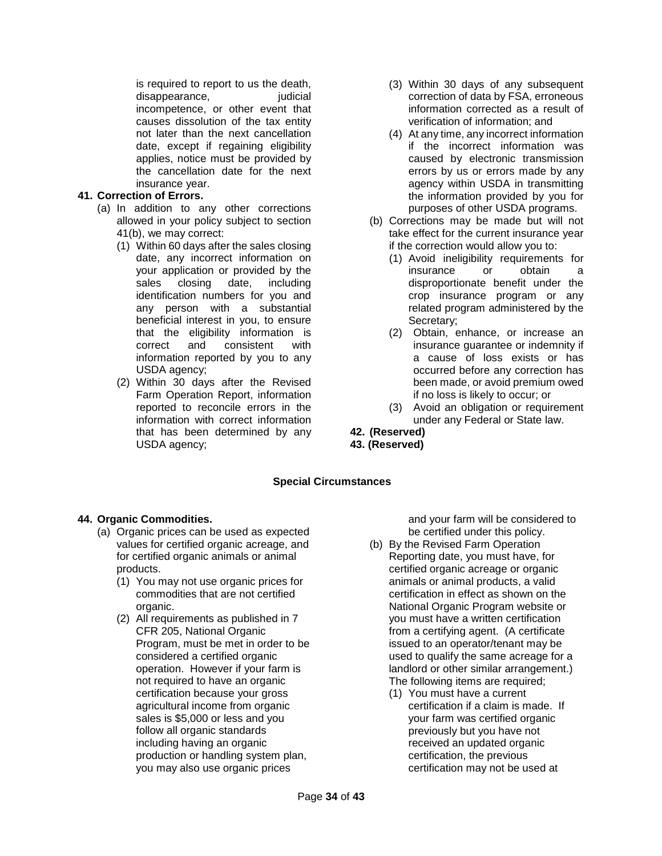is required to report to us the death, disappearance, iudicial incompetence, or other event that causes dissolution of the tax entity not later than the next cancellation date, except if regaining eligibility applies, notice must be provided by the cancellation date for the next insurance year.

## **41. Correction of Errors.**

- (a) In addition to any other corrections allowed in your policy subject to section 41(b), we may correct:
	- (1) Within 60 days after the sales closing date, any incorrect information on your application or provided by the sales closing date, including identification numbers for you and any person with a substantial beneficial interest in you, to ensure that the eligibility information is correct and consistent with information reported by you to any USDA agency;
	- (2) Within 30 days after the Revised Farm Operation Report, information reported to reconcile errors in the information with correct information that has been determined by any USDA agency;
- (3) Within 30 days of any subsequent correction of data by FSA, erroneous information corrected as a result of verification of information; and
- (4) At any time, any incorrect information if the incorrect information was caused by electronic transmission errors by us or errors made by any agency within USDA in transmitting the information provided by you for purposes of other USDA programs.
- (b) Corrections may be made but will not take effect for the current insurance year if the correction would allow you to:
	- (1) Avoid ineligibility requirements for insurance or obtain a disproportionate benefit under the crop insurance program or any related program administered by the Secretary;
	- (2) Obtain, enhance, or increase an insurance guarantee or indemnity if a cause of loss exists or has occurred before any correction has been made, or avoid premium owed if no loss is likely to occur; or
	- (3) Avoid an obligation or requirement under any Federal or State law.
- **42. (Reserved)**
- **43. (Reserved)**

## **Special Circumstances**

## <span id="page-33-0"></span>**44. Organic Commodities.**

- (a) Organic prices can be used as expected values for certified organic acreage, and for certified organic animals or animal products.
	- (1) You may not use organic prices for commodities that are not certified organic.
	- (2) All requirements as published in 7 CFR 205, National Organic Program, must be met in order to be considered a certified organic operation. However if your farm is not required to have an organic certification because your gross agricultural income from organic sales is \$5,000 or less and you follow all organic standards including having an organic production or handling system plan, you may also use organic prices

and your farm will be considered to be certified under this policy.

- (b) By the Revised Farm Operation Reporting date, you must have, for certified organic acreage or organic animals or animal products, a valid certification in effect as shown on the National Organic Program website or you must have a written certification from a certifying agent. (A certificate issued to an operator/tenant may be used to qualify the same acreage for a landlord or other similar arrangement.) The following items are required;
	- (1) You must have a current certification if a claim is made. If your farm was certified organic previously but you have not received an updated organic certification, the previous certification may not be used at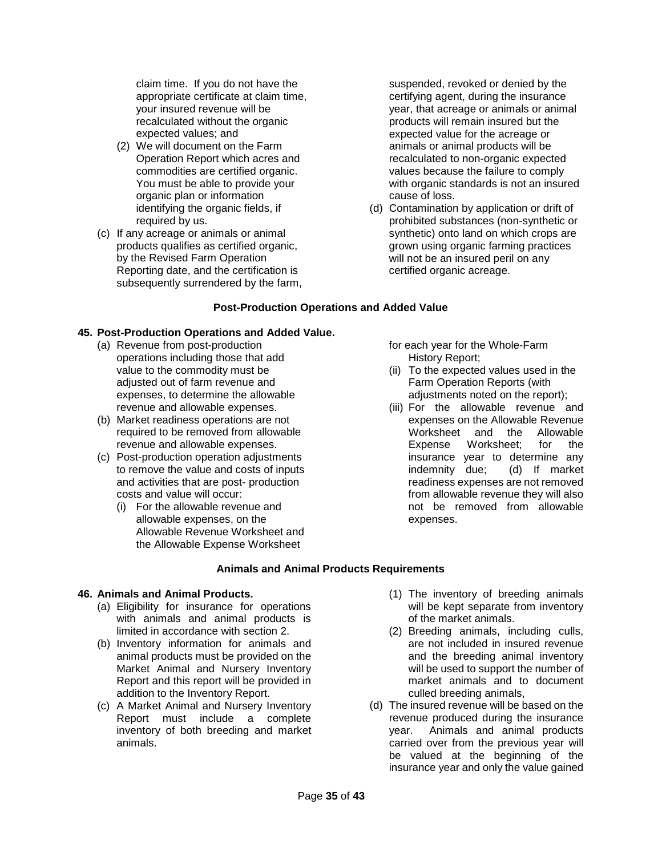claim time. If you do not have the appropriate certificate at claim time, your insured revenue will be recalculated without the organic expected values; and

- (2) We will document on the Farm Operation Report which acres and commodities are certified organic. You must be able to provide your organic plan or information identifying the organic fields, if required by us.
- (c) If any acreage or animals or animal products qualifies as certified organic, by the Revised Farm Operation Reporting date, and the certification is subsequently surrendered by the farm,

suspended, revoked or denied by the certifying agent, during the insurance year, that acreage or animals or animal products will remain insured but the expected value for the acreage or animals or animal products will be recalculated to non-organic expected values because the failure to comply with organic standards is not an insured cause of loss.

(d) Contamination by application or drift of prohibited substances (non-synthetic or synthetic) onto land on which crops are grown using organic farming practices will not be an insured peril on any certified organic acreage.

## **Post-Production Operations and Added Value**

## **45. Post-Production Operations and Added Value.**

- (a) Revenue from post-production operations including those that add value to the commodity must be adjusted out of farm revenue and expenses, to determine the allowable revenue and allowable expenses.
- (b) Market readiness operations are not required to be removed from allowable revenue and allowable expenses.
- (c) Post-production operation adjustments to remove the value and costs of inputs and activities that are post- production costs and value will occur:
	- (i) For the allowable revenue and allowable expenses, on the Allowable Revenue Worksheet and the Allowable Expense Worksheet

for each year for the Whole-Farm History Report;

- (ii) To the expected values used in the Farm Operation Reports (with adjustments noted on the report);
- (iii) For the allowable revenue and expenses on the Allowable Revenue Worksheet and the Allowable Expense Worksheet; for the insurance year to determine any indemnity due; (d) If market readiness expenses are not removed from allowable revenue they will also not be removed from allowable expenses.

## **Animals and Animal Products Requirements**

## <span id="page-34-0"></span>**46. Animals and Animal Products.**

- (a) Eligibility for insurance for operations with animals and animal products is limited in accordance with section 2.
- (b) Inventory information for animals and animal products must be provided on the Market Animal and Nursery Inventory Report and this report will be provided in addition to the Inventory Report.
- (c) A Market Animal and Nursery Inventory Report must include a complete inventory of both breeding and market animals.
- (1) The inventory of breeding animals will be kept separate from inventory of the market animals.
- (2) Breeding animals, including culls, are not included in insured revenue and the breeding animal inventory will be used to support the number of market animals and to document culled breeding animals,
- (d) The insured revenue will be based on the revenue produced during the insurance year. Animals and animal products carried over from the previous year will be valued at the beginning of the insurance year and only the value gained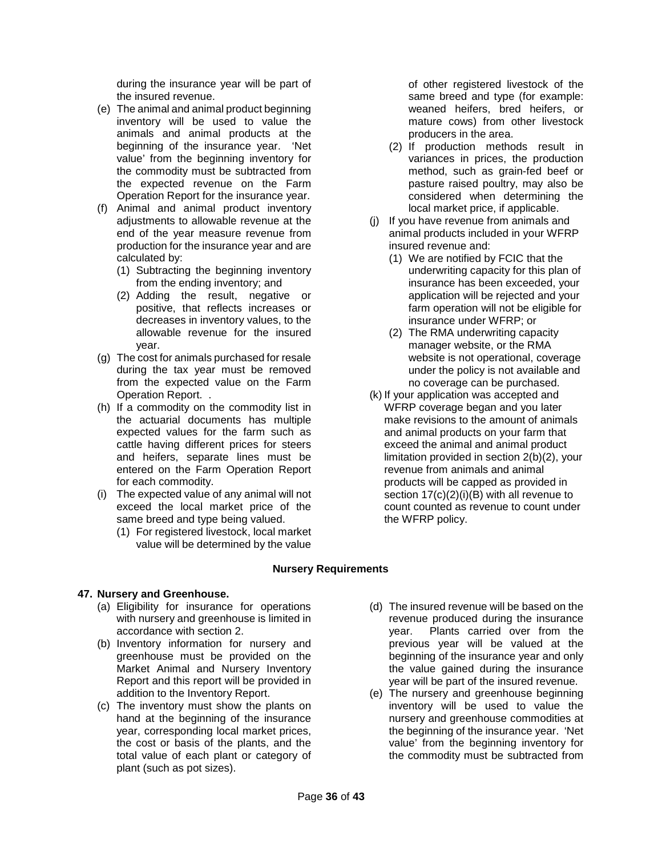during the insurance year will be part of the insured revenue.

- (e) The animal and animal product beginning inventory will be used to value the animals and animal products at the beginning of the insurance year. 'Net value' from the beginning inventory for the commodity must be subtracted from the expected revenue on the Farm Operation Report for the insurance year.
- (f) Animal and animal product inventory adjustments to allowable revenue at the end of the year measure revenue from production for the insurance year and are calculated by:
	- (1) Subtracting the beginning inventory from the ending inventory; and
	- (2) Adding the result, negative or positive, that reflects increases or decreases in inventory values, to the allowable revenue for the insured year.
- (g) The cost for animals purchased for resale during the tax year must be removed from the expected value on the Farm Operation Report. .
- (h) If a commodity on the commodity list in the actuarial documents has multiple expected values for the farm such as cattle having different prices for steers and heifers, separate lines must be entered on the Farm Operation Report for each commodity.
- (i) The expected value of any animal will not exceed the local market price of the same breed and type being valued.
	- (1) For registered livestock, local market value will be determined by the value

of other registered livestock of the same breed and type (for example: weaned heifers, bred heifers, or mature cows) from other livestock producers in the area.

- (2) If production methods result in variances in prices, the production method, such as grain-fed beef or pasture raised poultry, may also be considered when determining the local market price, if applicable.
- (j) If you have revenue from animals and animal products included in your WFRP insured revenue and:
	- (1) We are notified by FCIC that the underwriting capacity for this plan of insurance has been exceeded, your application will be rejected and your farm operation will not be eligible for insurance under WFRP; or
	- (2) The RMA underwriting capacity manager website, or the RMA website is not operational, coverage under the policy is not available and no coverage can be purchased.
- (k) If your application was accepted and WFRP coverage began and you later make revisions to the amount of animals and animal products on your farm that exceed the animal and animal product limitation provided in section 2(b)(2), your revenue from animals and animal products will be capped as provided in section  $17(c)(2)(i)(B)$  with all revenue to count counted as revenue to count under the WFRP policy.

# **Nursery Requirements**

## **47. Nursery and Greenhouse.**

- (a) Eligibility for insurance for operations with nursery and greenhouse is limited in accordance with section 2.
- (b) Inventory information for nursery and greenhouse must be provided on the Market Animal and Nursery Inventory Report and this report will be provided in addition to the Inventory Report.
- (c) The inventory must show the plants on hand at the beginning of the insurance year, corresponding local market prices, the cost or basis of the plants, and the total value of each plant or category of plant (such as pot sizes).
- (d) The insured revenue will be based on the revenue produced during the insurance year. Plants carried over from the previous year will be valued at the beginning of the insurance year and only the value gained during the insurance year will be part of the insured revenue.
- (e) The nursery and greenhouse beginning inventory will be used to value the nursery and greenhouse commodities at the beginning of the insurance year. 'Net value' from the beginning inventory for the commodity must be subtracted from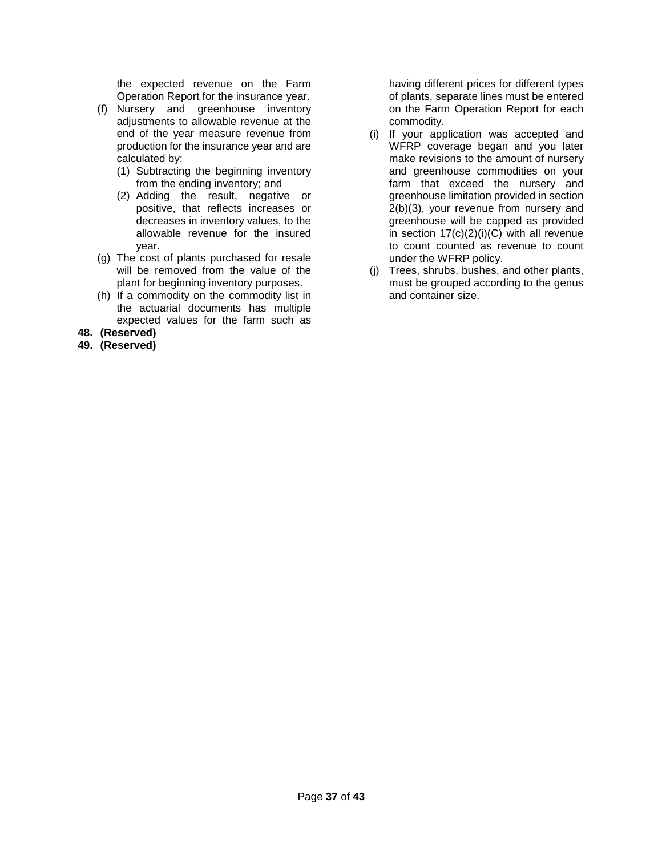the expected revenue on the Farm Operation Report for the insurance year.

- (f) Nursery and greenhouse inventory adjustments to allowable revenue at the end of the year measure revenue from production for the insurance year and are calculated by:
	- (1) Subtracting the beginning inventory from the ending inventory; and
	- (2) Adding the result, negative or positive, that reflects increases or decreases in inventory values, to the allowable revenue for the insured year.
- (g) The cost of plants purchased for resale will be removed from the value of the plant for beginning inventory purposes.
- (h) If a commodity on the commodity list in the actuarial documents has multiple expected values for the farm such as
- **48. (Reserved)**
- **49. (Reserved)**

having different prices for different types of plants, separate lines must be entered on the Farm Operation Report for each commodity.

- (i) If your application was accepted and WFRP coverage began and you later make revisions to the amount of nursery and greenhouse commodities on your farm that exceed the nursery and greenhouse limitation provided in section 2(b)(3), your revenue from nursery and greenhouse will be capped as provided in section  $17(c)(2)(i)(C)$  with all revenue to count counted as revenue to count under the WFRP policy.
- (j) Trees, shrubs, bushes, and other plants, must be grouped according to the genus and container size.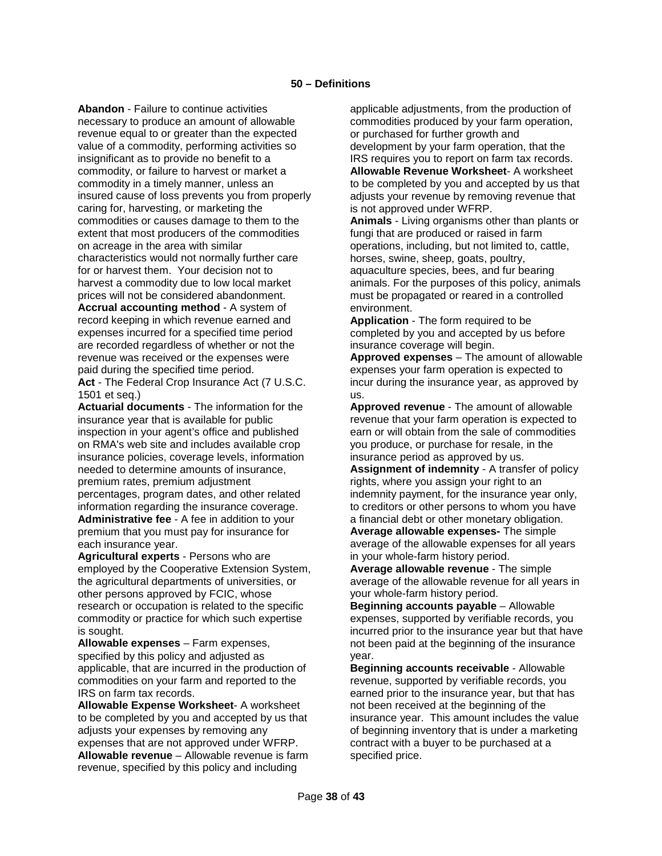**Abandon** - Failure to continue activities necessary to produce an amount of allowable revenue equal to or greater than the expected value of a commodity, performing activities so insignificant as to provide no benefit to a commodity, or failure to harvest or market a commodity in a timely manner, unless an insured cause of loss prevents you from properly caring for, harvesting, or marketing the commodities or causes damage to them to the extent that most producers of the commodities on acreage in the area with similar characteristics would not normally further care for or harvest them. Your decision not to harvest a commodity due to low local market prices will not be considered abandonment.

**Accrual accounting method** - A system of record keeping in which revenue earned and expenses incurred for a specified time period are recorded regardless of whether or not the revenue was received or the expenses were paid during the specified time period.

**Act** - The Federal Crop Insurance Act (7 U.S.C. 1501 et seq.)

**Actuarial documents** - The information for the insurance year that is available for public inspection in your agent's office and published on RMA's web site and includes available crop insurance policies, coverage levels, information needed to determine amounts of insurance, premium rates, premium adjustment percentages, program dates, and other related information regarding the insurance coverage. **Administrative fee** - A fee in addition to your premium that you must pay for insurance for each insurance year.

**Agricultural experts** - Persons who are employed by the Cooperative Extension System, the agricultural departments of universities, or other persons approved by FCIC, whose research or occupation is related to the specific commodity or practice for which such expertise is sought.

**Allowable expenses** – Farm expenses, specified by this policy and adjusted as applicable, that are incurred in the production of commodities on your farm and reported to the IRS on farm tax records.

**Allowable Expense Worksheet**- A worksheet to be completed by you and accepted by us that adjusts your expenses by removing any expenses that are not approved under WFRP. **Allowable revenue** – Allowable revenue is farm revenue, specified by this policy and including

applicable adjustments, from the production of commodities produced by your farm operation, or purchased for further growth and development by your farm operation, that the IRS requires you to report on farm tax records. **Allowable Revenue Worksheet**- A worksheet to be completed by you and accepted by us that adjusts your revenue by removing revenue that is not approved under WFRP.

**Animals** - Living organisms other than plants or fungi that are produced or raised in farm operations, including, but not limited to, cattle, horses, swine, sheep, goats, poultry, aquaculture species, bees, and fur bearing animals. For the purposes of this policy, animals must be propagated or reared in a controlled environment.

**Application** - The form required to be completed by you and accepted by us before insurance coverage will begin.

**Approved expenses** – The amount of allowable expenses your farm operation is expected to incur during the insurance year, as approved by us.

**Approved revenue** - The amount of allowable revenue that your farm operation is expected to earn or will obtain from the sale of commodities you produce, or purchase for resale, in the insurance period as approved by us.

**Assignment of indemnity** - A transfer of policy rights, where you assign your right to an indemnity payment, for the insurance year only, to creditors or other persons to whom you have a financial debt or other monetary obligation.

**Average allowable expenses-** The simple average of the allowable expenses for all years in your whole-farm history period.

**Average allowable revenue** - The simple average of the allowable revenue for all years in your whole-farm history period.

**Beginning accounts payable** – Allowable expenses, supported by verifiable records, you incurred prior to the insurance year but that have not been paid at the beginning of the insurance year.

**Beginning accounts receivable** - Allowable revenue, supported by verifiable records, you earned prior to the insurance year, but that has not been received at the beginning of the insurance year. This amount includes the value of beginning inventory that is under a marketing contract with a buyer to be purchased at a specified price.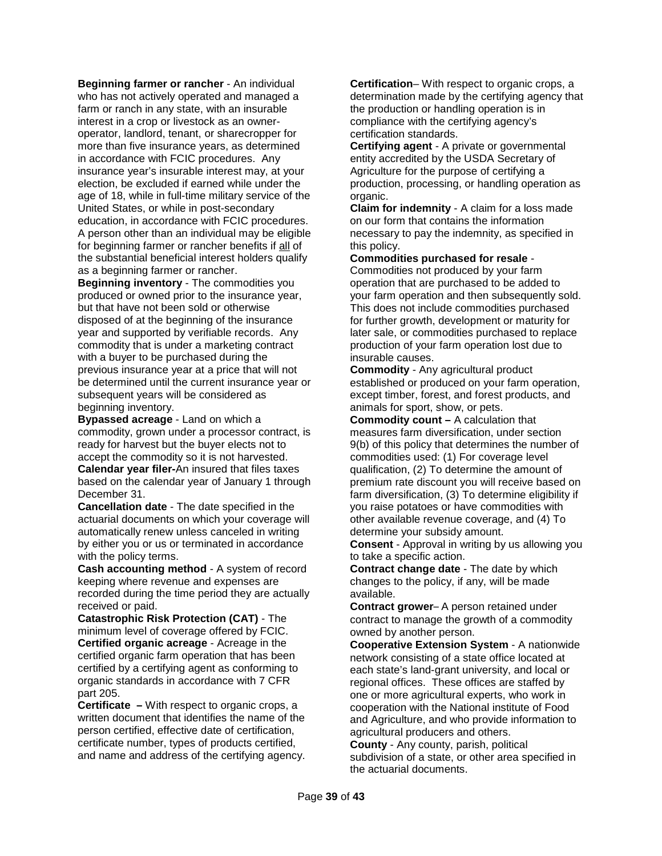**Beginning farmer or rancher** - An individual who has not actively operated and managed a farm or ranch in any state, with an insurable interest in a crop or livestock as an owneroperator, landlord, tenant, or sharecropper for more than five insurance years, as determined in accordance with FCIC procedures. Any insurance year's insurable interest may, at your election, be excluded if earned while under the age of 18, while in full-time military service of the United States, or while in post-secondary education, in accordance with FCIC procedures. A person other than an individual may be eligible for beginning farmer or rancher benefits if all of the substantial beneficial interest holders qualify as a beginning farmer or rancher.

**Beginning inventory** - The commodities you produced or owned prior to the insurance year, but that have not been sold or otherwise disposed of at the beginning of the insurance year and supported by verifiable records. Any commodity that is under a marketing contract with a buyer to be purchased during the previous insurance year at a price that will not be determined until the current insurance year or subsequent years will be considered as beginning inventory.

**Bypassed acreage** - Land on which a commodity, grown under a processor contract, is ready for harvest but the buyer elects not to accept the commodity so it is not harvested. **Calendar year filer-**An insured that files taxes based on the calendar year of January 1 through December 31.

**Cancellation date** - The date specified in the actuarial documents on which your coverage will automatically renew unless canceled in writing by either you or us or terminated in accordance with the policy terms.

**Cash accounting method** - A system of record keeping where revenue and expenses are recorded during the time period they are actually received or paid.

**Catastrophic Risk Protection (CAT)** - The minimum level of coverage offered by FCIC. **Certified organic acreage** - Acreage in the certified organic farm operation that has been certified by a certifying agent as conforming to organic standards in accordance with 7 CFR part 205.

**Certificate –** With respect to organic crops, a written document that identifies the name of the person certified, effective date of certification, certificate number, types of products certified, and name and address of the certifying agency.

**Certification**– With respect to organic crops, a determination made by the certifying agency that the production or handling operation is in compliance with the certifying agency's certification standards.

**Certifying agent** - A private or governmental entity accredited by the USDA Secretary of Agriculture for the purpose of certifying a production, processing, or handling operation as organic.

**Claim for indemnity** - A claim for a loss made on our form that contains the information necessary to pay the indemnity, as specified in this policy.

### **Commodities purchased for resale** -

Commodities not produced by your farm operation that are purchased to be added to your farm operation and then subsequently sold. This does not include commodities purchased for further growth, development or maturity for later sale, or commodities purchased to replace production of your farm operation lost due to insurable causes.

**Commodity** - Any agricultural product established or produced on your farm operation, except timber, forest, and forest products, and animals for sport, show, or pets.

**Commodity count –** A calculation that measures farm diversification, under section 9(b) of this policy that determines the number of commodities used: (1) For coverage level qualification, (2) To determine the amount of premium rate discount you will receive based on farm diversification, (3) To determine eligibility if you raise potatoes or have commodities with other available revenue coverage, and (4) To determine your subsidy amount.

**Consent** - Approval in writing by us allowing you to take a specific action.

**Contract change date** - The date by which changes to the policy, if any, will be made available.

**Contract grower**– A person retained under contract to manage the growth of a commodity owned by another person.

**Cooperative Extension System** - A nationwide network consisting of a state office located at each state's land-grant university, and local or regional offices. These offices are staffed by one or more agricultural experts, who work in cooperation with the National institute of Food and Agriculture, and who provide information to agricultural producers and others.

**County** - Any county, parish, political subdivision of a state, or other area specified in the actuarial documents.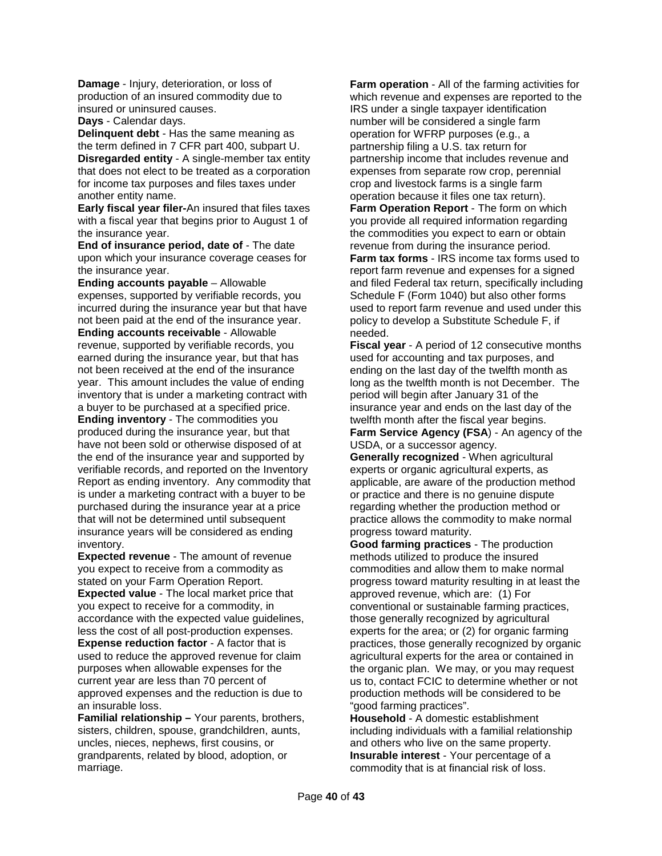**Damage** - Injury, deterioration, or loss of production of an insured commodity due to insured or uninsured causes.

**Days** - Calendar days.

**Delinquent debt** - Has the same meaning as the term defined in 7 CFR part 400, subpart U. **Disregarded entity** - A single-member tax entity that does not elect to be treated as a corporation for income tax purposes and files taxes under another entity name.

**Early fiscal year filer-**An insured that files taxes with a fiscal year that begins prior to August 1 of the insurance year.

**End of insurance period, date of** - The date upon which your insurance coverage ceases for the insurance year.

**Ending accounts payable** – Allowable expenses, supported by verifiable records, you incurred during the insurance year but that have not been paid at the end of the insurance year. **Ending accounts receivable** - Allowable revenue, supported by verifiable records, you earned during the insurance year, but that has not been received at the end of the insurance year. This amount includes the value of ending inventory that is under a marketing contract with a buyer to be purchased at a specified price. **Ending inventory** - The commodities you produced during the insurance year, but that have not been sold or otherwise disposed of at the end of the insurance year and supported by verifiable records, and reported on the Inventory Report as ending inventory. Any commodity that is under a marketing contract with a buyer to be purchased during the insurance year at a price that will not be determined until subsequent insurance years will be considered as ending inventory.

**Expected revenue** - The amount of revenue you expect to receive from a commodity as stated on your Farm Operation Report. **Expected value** - The local market price that you expect to receive for a commodity, in accordance with the expected value guidelines, less the cost of all post-production expenses. **Expense reduction factor - A factor that is** used to reduce the approved revenue for claim purposes when allowable expenses for the current year are less than 70 percent of approved expenses and the reduction is due to an insurable loss.

**Familial relationship –** Your parents, brothers, sisters, children, spouse, grandchildren, aunts, uncles, nieces, nephews, first cousins, or grandparents, related by blood, adoption, or marriage.

**Farm operation** - All of the farming activities for which revenue and expenses are reported to the IRS under a single taxpayer identification number will be considered a single farm operation for WFRP purposes (e.g., a partnership filing a U.S. tax return for partnership income that includes revenue and expenses from separate row crop, perennial crop and livestock farms is a single farm operation because it files one tax return). **Farm Operation Report** - The form on which you provide all required information regarding the commodities you expect to earn or obtain revenue from during the insurance period. **Farm tax forms** - IRS income tax forms used to report farm revenue and expenses for a signed and filed Federal tax return, specifically including Schedule F (Form 1040) but also other forms used to report farm revenue and used under this policy to develop a Substitute Schedule F, if needed.

**Fiscal year** - A period of 12 consecutive months used for accounting and tax purposes, and ending on the last day of the twelfth month as long as the twelfth month is not December. The period will begin after January 31 of the insurance year and ends on the last day of the twelfth month after the fiscal year begins.

**Farm Service Agency (FSA**) - An agency of the USDA, or a successor agency.

**Generally recognized** - When agricultural experts or organic agricultural experts, as applicable, are aware of the production method or practice and there is no genuine dispute regarding whether the production method or practice allows the commodity to make normal progress toward maturity.

**Good farming practices** - The production methods utilized to produce the insured commodities and allow them to make normal progress toward maturity resulting in at least the approved revenue, which are: (1) For conventional or sustainable farming practices, those generally recognized by agricultural experts for the area; or (2) for organic farming practices, those generally recognized by organic agricultural experts for the area or contained in the organic plan. We may, or you may request us to, contact FCIC to determine whether or not production methods will be considered to be "good farming practices".

**Household** - A domestic establishment including individuals with a familial relationship and others who live on the same property. **Insurable interest** - Your percentage of a commodity that is at financial risk of loss.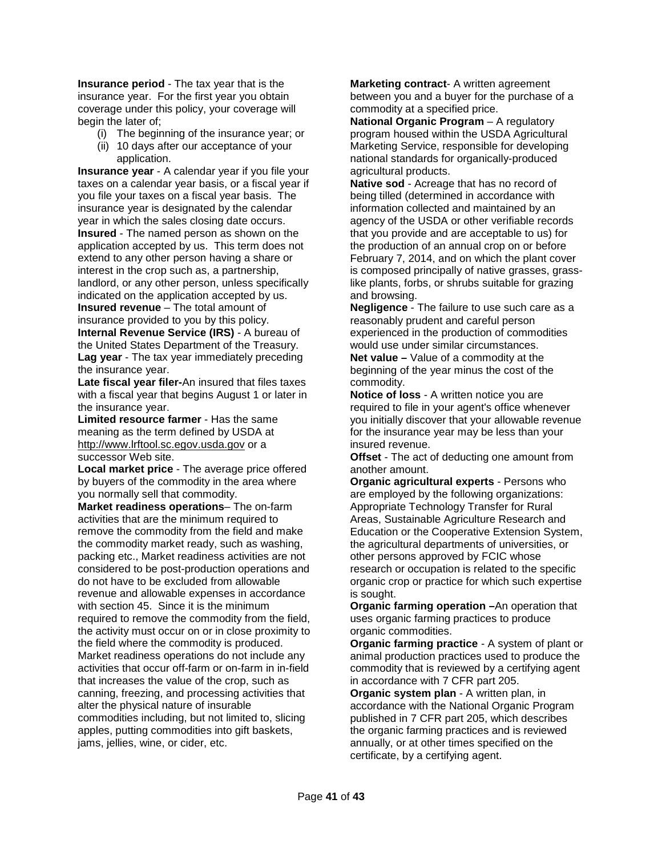**Insurance period** - The tax year that is the insurance year. For the first year you obtain coverage under this policy, your coverage will begin the later of;

- (i) The beginning of the insurance year; or
- (ii) 10 days after our acceptance of your application.

**Insurance year** - A calendar year if you file your taxes on a calendar year basis, or a fiscal year if you file your taxes on a fiscal year basis. The insurance year is designated by the calendar year in which the sales closing date occurs. **Insured** - The named person as shown on the application accepted by us. This term does not extend to any other person having a share or interest in the crop such as, a partnership, landlord, or any other person, unless specifically indicated on the application accepted by us. **Insured revenue** – The total amount of insurance provided to you by this policy. **Internal Revenue Service (IRS)** - A bureau of

the United States Department of the Treasury. **Lag year** - The tax year immediately preceding the insurance year.

**Late fiscal year filer-**An insured that files taxes with a fiscal year that begins August 1 or later in the insurance year.

**Limited resource farmer** - Has the same meaning as the term defined by USDA at http://www.lrftool.sc.egov.usda.gov or a successor Web site.

**Local market price** - The average price offered by buyers of the commodity in the area where you normally sell that commodity.

**Market readiness operations**– The on-farm activities that are the minimum required to remove the commodity from the field and make the commodity market ready, such as washing, packing etc., Market readiness activities are not considered to be post-production operations and do not have to be excluded from allowable revenue and allowable expenses in accordance with section 45. Since it is the minimum required to remove the commodity from the field, the activity must occur on or in close proximity to the field where the commodity is produced. Market readiness operations do not include any activities that occur off-farm or on-farm in in-field that increases the value of the crop, such as canning, freezing, and processing activities that alter the physical nature of insurable commodities including, but not limited to, slicing apples, putting commodities into gift baskets, jams, jellies, wine, or cider, etc.

**Marketing contract**- A written agreement between you and a buyer for the purchase of a commodity at a specified price.

**National Organic Program** - A regulatory program housed within the USDA Agricultural Marketing Service, responsible for developing national standards for organically-produced agricultural products.

**Native sod** - Acreage that has no record of being tilled (determined in accordance with information collected and maintained by an agency of the USDA or other verifiable records that you provide and are acceptable to us) for the production of an annual crop on or before February 7, 2014, and on which the plant cover is composed principally of native grasses, grasslike plants, forbs, or shrubs suitable for grazing and browsing.

**Negligence** - The failure to use such care as a reasonably prudent and careful person experienced in the production of commodities would use under similar circumstances.

**Net value –** Value of a commodity at the beginning of the year minus the cost of the commodity.

**Notice of loss** - A written notice you are required to file in your agent's office whenever you initially discover that your allowable revenue for the insurance year may be less than your insured revenue.

**Offset** - The act of deducting one amount from another amount.

**Organic agricultural experts** - Persons who are employed by the following organizations: Appropriate Technology Transfer for Rural Areas, Sustainable Agriculture Research and Education or the Cooperative Extension System, the agricultural departments of universities, or other persons approved by FCIC whose research or occupation is related to the specific organic crop or practice for which such expertise is sought.

**Organic farming operation –**An operation that uses organic farming practices to produce organic commodities.

**Organic farming practice** - A system of plant or animal production practices used to produce the commodity that is reviewed by a certifying agent in accordance with 7 CFR part 205.

**Organic system plan** - A written plan, in accordance with the National Organic Program published in 7 CFR part 205, which describes the organic farming practices and is reviewed annually, or at other times specified on the certificate, by a certifying agent.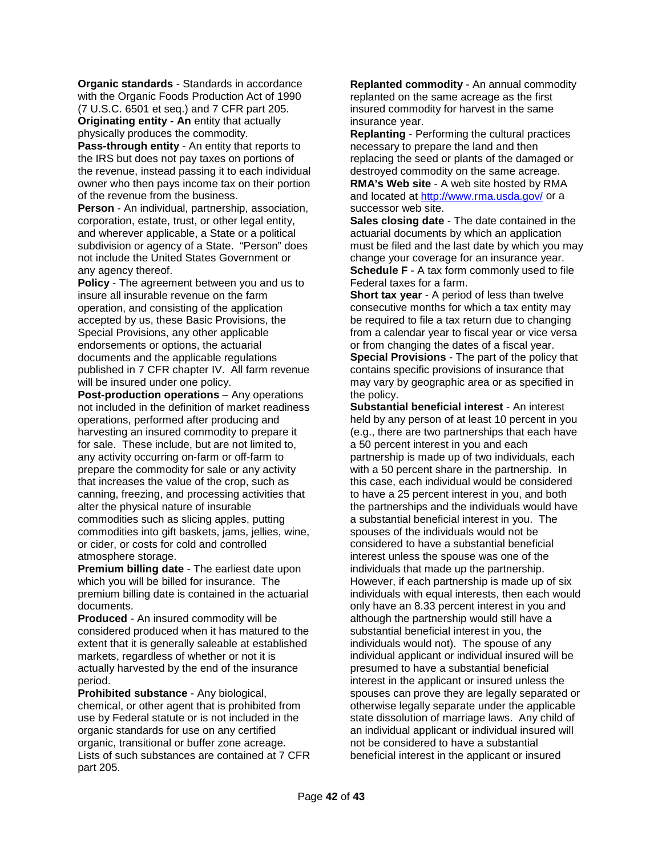**Organic standards** - Standards in accordance with the Organic Foods Production Act of 1990 (7 U.S.C. 6501 et seq.) and 7 CFR part 205. **Originating entity - An** entity that actually physically produces the commodity.

**Pass-through entity** - An entity that reports to the IRS but does not pay taxes on portions of the revenue, instead passing it to each individual owner who then pays income tax on their portion of the revenue from the business.

**Person** - An individual, partnership, association, corporation, estate, trust, or other legal entity, and wherever applicable, a State or a political subdivision or agency of a State. "Person" does not include the United States Government or any agency thereof.

**Policy** - The agreement between you and us to insure all insurable revenue on the farm operation, and consisting of the application accepted by us, these Basic Provisions, the Special Provisions, any other applicable endorsements or options, the actuarial documents and the applicable regulations published in 7 CFR chapter IV. All farm revenue will be insured under one policy.

**Post-production operations** – Any operations not included in the definition of market readiness operations, performed after producing and harvesting an insured commodity to prepare it for sale. These include, but are not limited to, any activity occurring on-farm or off-farm to prepare the commodity for sale or any activity that increases the value of the crop, such as canning, freezing, and processing activities that alter the physical nature of insurable commodities such as slicing apples, putting commodities into gift baskets, jams, jellies, wine, or cider, or costs for cold and controlled atmosphere storage.

**Premium billing date** - The earliest date upon which you will be billed for insurance. The premium billing date is contained in the actuarial documents.

**Produced** - An insured commodity will be considered produced when it has matured to the extent that it is generally saleable at established markets, regardless of whether or not it is actually harvested by the end of the insurance period.

**Prohibited substance** - Any biological, chemical, or other agent that is prohibited from use by Federal statute or is not included in the organic standards for use on any certified organic, transitional or buffer zone acreage. Lists of such substances are contained at 7 CFR part 205.

**Replanted commodity** - An annual commodity replanted on the same acreage as the first insured commodity for harvest in the same insurance year.

**Replanting** - Performing the cultural practices necessary to prepare the land and then replacing the seed or plants of the damaged or destroyed commodity on the same acreage.

**RMA's Web site** - A web site hosted by RMA and located at<http://www.rma.usda.gov/> or a successor web site.

**Sales closing date** - The date contained in the actuarial documents by which an application must be filed and the last date by which you may change your coverage for an insurance year. **Schedule F** - A tax form commonly used to file Federal taxes for a farm.

**Short tax year** - A period of less than twelve consecutive months for which a tax entity may be required to file a tax return due to changing from a calendar year to fiscal year or vice versa or from changing the dates of a fiscal year. **Special Provisions** - The part of the policy that contains specific provisions of insurance that may vary by geographic area or as specified in the policy.

**Substantial beneficial interest** - An interest held by any person of at least 10 percent in you (e.g., there are two partnerships that each have a 50 percent interest in you and each partnership is made up of two individuals, each with a 50 percent share in the partnership. In this case, each individual would be considered to have a 25 percent interest in you, and both the partnerships and the individuals would have a substantial beneficial interest in you. The spouses of the individuals would not be considered to have a substantial beneficial interest unless the spouse was one of the individuals that made up the partnership. However, if each partnership is made up of six individuals with equal interests, then each would only have an 8.33 percent interest in you and although the partnership would still have a substantial beneficial interest in you, the individuals would not). The spouse of any individual applicant or individual insured will be presumed to have a substantial beneficial interest in the applicant or insured unless the spouses can prove they are legally separated or otherwise legally separate under the applicable state dissolution of marriage laws. Any child of an individual applicant or individual insured will not be considered to have a substantial beneficial interest in the applicant or insured